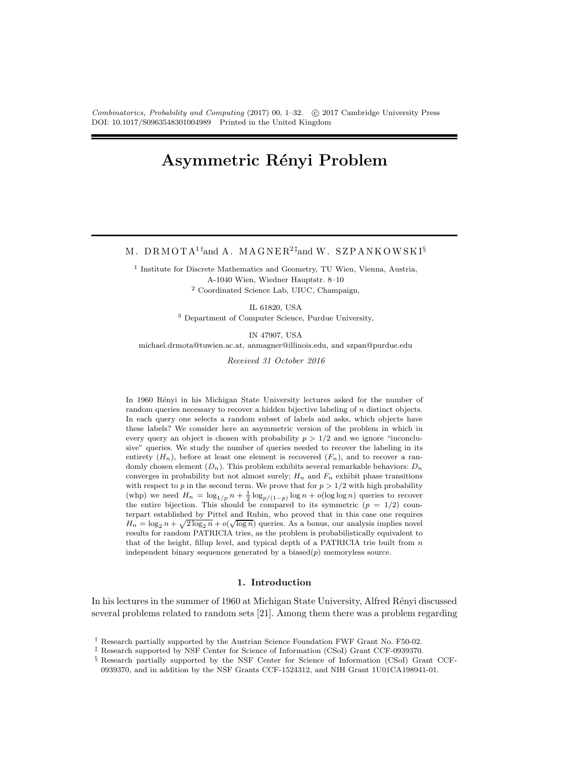Combinatorics, Probability and Computing (2017) 00, 1–32. C 2017 Cambridge University Press DOI: 10.1017/S0963548301004989 Printed in the United Kingdom

# Asymmetric Rényi Problem

M. DRMOTA<sup>1†</sup>and A. MAGNER<sup>2‡</sup>and W. SZPANKOWSKI<sup>§</sup>

<sup>1</sup> Institute for Discrete Mathematics and Geometry, TU Wien, Vienna, Austria, A-1040 Wien, Wiedner Hauptstr. 8–10 <sup>2</sup> Coordinated Science Lab, UIUC, Champaign,

IL 61820, USA

<sup>3</sup> Department of Computer Science, Purdue University,

IN 47907, USA

michael.drmota@tuwien.ac.at, anmagner@illinois.edu, and szpan@purdue.edu

*Received 31 October 2016*

In 1960 Rényi in his Michigan State University lectures asked for the number of random queries necessary to recover a hidden bijective labeling of n distinct objects. In each query one selects a random subset of labels and asks, which objects have these labels? We consider here an asymmetric version of the problem in which in every query an object is chosen with probability  $p > 1/2$  and we ignore "inconclusive" queries. We study the number of queries needed to recover the labeling in its entirety  $(H_n)$ , before at least one element is recovered  $(F_n)$ , and to recover a randomly chosen element  $(D_n)$ . This problem exhibits several remarkable behaviors:  $D_n$ converges in probability but not almost surely;  $H_n$  and  $F_n$  exhibit phase transitions with respect to p in the second term. We prove that for  $p > 1/2$  with high probability (whp) we need  $H_n = \log_{1/p} n + \frac{1}{2} \log_{p/(1-p)} \log n + o(\log \log n)$  queries to recover the entire bijection. This should be compared to its symmetric  $(p = 1/2)$  counterpart established by Pittel and Rubin, who proved that in this case one requires  $H_n = \log_2 n + \sqrt{2 \log_2 n} + o(\sqrt{\log n})$  queries. As a bonus, our analysis implies novel results for random PATRICIA tries, as the problem is probabilistically equivalent to that of the height, fillup level, and typical depth of a PATRICIA trie built from  $n$ independent binary sequences generated by a biased $(p)$  memoryless source.

#### 1. Introduction

In his lectures in the summer of 1960 at Michigan State University, Alfred Rényi discussed several problems related to random sets [21]. Among them there was a problem regarding

<sup>†</sup> Research partially supported by the Austrian Science Foundation FWF Grant No. F50-02.

<sup>‡</sup> Research supported by NSF Center for Science of Information (CSoI) Grant CCF-0939370.

<sup>§</sup> Research partially supported by the NSF Center for Science of Information (CSoI) Grant CCF-0939370, and in addition by the NSF Grants CCF-1524312, and NIH Grant 1U01CA198941-01.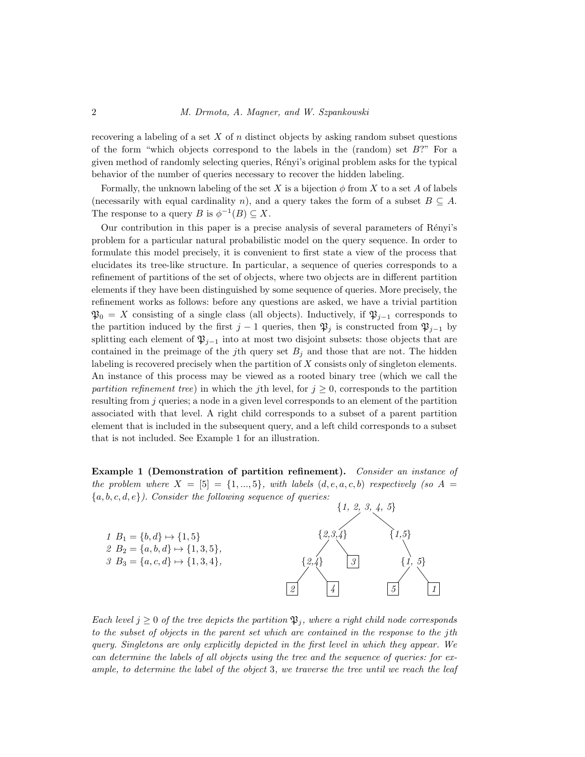recovering a labeling of a set  $X$  of  $n$  distinct objects by asking random subset questions of the form "which objects correspond to the labels in the (random) set  $B$ ?" For a given method of randomly selecting queries, R´enyi's original problem asks for the typical behavior of the number of queries necessary to recover the hidden labeling.

Formally, the unknown labeling of the set X is a bijection  $\phi$  from X to a set A of labels (necessarily with equal cardinality n), and a query takes the form of a subset  $B \subseteq A$ . The response to a query B is  $\phi^{-1}(B) \subseteq X$ .

Our contribution in this paper is a precise analysis of several parameters of Rényi's problem for a particular natural probabilistic model on the query sequence. In order to formulate this model precisely, it is convenient to first state a view of the process that elucidates its tree-like structure. In particular, a sequence of queries corresponds to a refinement of partitions of the set of objects, where two objects are in different partition elements if they have been distinguished by some sequence of queries. More precisely, the refinement works as follows: before any questions are asked, we have a trivial partition  $\mathfrak{P}_0 = X$  consisting of a single class (all objects). Inductively, if  $\mathfrak{P}_{i-1}$  corresponds to the partition induced by the first j – 1 queries, then  $\mathfrak{P}_j$  is constructed from  $\mathfrak{P}_{j-1}$  by splitting each element of  $\mathfrak{P}_{i-1}$  into at most two disjoint subsets: those objects that are contained in the preimage of the jth query set  $B_j$  and those that are not. The hidden labeling is recovered precisely when the partition of  $X$  consists only of singleton elements. An instance of this process may be viewed as a rooted binary tree (which we call the *partition refinement tree*) in which the *j*th level, for  $j \geq 0$ , corresponds to the partition resulting from  $j$  queries; a node in a given level corresponds to an element of the partition associated with that level. A right child corresponds to a subset of a parent partition element that is included in the subsequent query, and a left child corresponds to a subset that is not included. See Example 1 for an illustration.

Example 1 (Demonstration of partition refinement). *Consider an instance of the problem where*  $X = \begin{bmatrix} 5 \end{bmatrix} = \{1, ..., 5\}$ *, with labels*  $(d, e, a, c, b)$  *respectively (so A = \nepsilongsilongsilongsilongsilongsilongsilongsilongsilongsilongsilongsilongsilongsilongsilongsilongsilongsilongsilongsilo* {a, b, c, d, e}*). Consider the following sequence of queries:*



*Each level*  $j \geq 0$  *of the tree depicts the partition*  $\mathfrak{P}_j$ *, where a right child node corresponds to the subset of objects in the parent set which are contained in the response to the* j*th query. Singletons are only explicitly depicted in the first level in which they appear. We can determine the labels of all objects using the tree and the sequence of queries: for example, to determine the label of the object* 3*, we traverse the tree until we reach the leaf*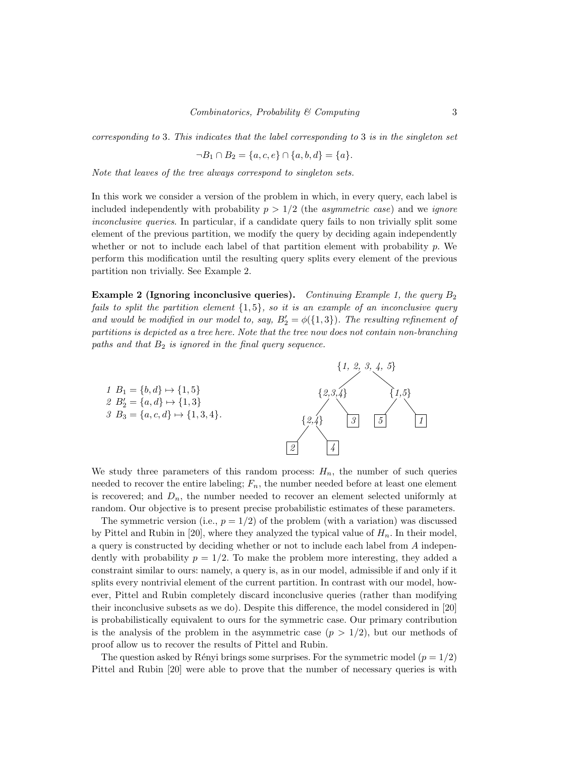*corresponding to* 3*. This indicates that the label corresponding to* 3 *is in the singleton set*

$$
\neg B_1 \cap B_2 = \{a, c, e\} \cap \{a, b, d\} = \{a\}.
$$

*Note that leaves of the tree always correspond to singleton sets.*

In this work we consider a version of the problem in which, in every query, each label is included independently with probability  $p > 1/2$  (the *asymmetric case*) and we *ignore inconclusive queries*. In particular, if a candidate query fails to non trivially split some element of the previous partition, we modify the query by deciding again independently whether or not to include each label of that partition element with probability  $p$ . We perform this modification until the resulting query splits every element of the previous partition non trivially. See Example 2.

Example 2 (Ignoring inconclusive queries). *Continuing Example 1, the query* B<sup>2</sup> *fails to split the partition element* {1, 5}*, so it is an example of an inconclusive query and would be modified in our model to, say,*  $B'_2 = \phi({1,3})$ *. The resulting refinement of partitions is depicted as a tree here. Note that the tree now does not contain non-branching paths and that* B<sup>2</sup> *is ignored in the final query sequence.*



We study three parameters of this random process:  $H_n$ , the number of such queries needed to recover the entire labeling;  $F_n$ , the number needed before at least one element is recovered; and  $D_n$ , the number needed to recover an element selected uniformly at random. Our objective is to present precise probabilistic estimates of these parameters.

The symmetric version (i.e.,  $p = 1/2$ ) of the problem (with a variation) was discussed by Pittel and Rubin in [20], where they analyzed the typical value of  $H_n$ . In their model, a query is constructed by deciding whether or not to include each label from A independently with probability  $p = 1/2$ . To make the problem more interesting, they added a constraint similar to ours: namely, a query is, as in our model, admissible if and only if it splits every nontrivial element of the current partition. In contrast with our model, however, Pittel and Rubin completely discard inconclusive queries (rather than modifying their inconclusive subsets as we do). Despite this difference, the model considered in [20] is probabilistically equivalent to ours for the symmetric case. Our primary contribution is the analysis of the problem in the asymmetric case  $(p > 1/2)$ , but our methods of proof allow us to recover the results of Pittel and Rubin.

The question asked by Rényi brings some surprises. For the symmetric model  $(p = 1/2)$ Pittel and Rubin [20] were able to prove that the number of necessary queries is with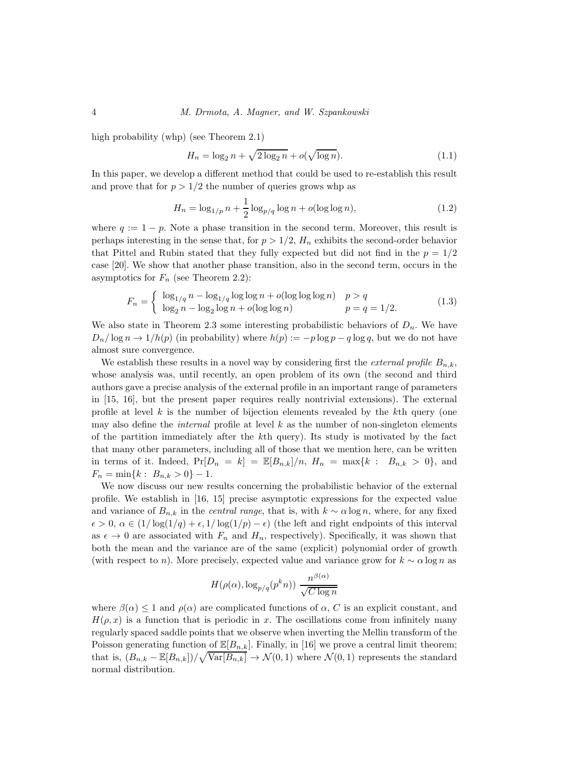high probability (whp) (see Theorem 2.1)

$$
H_n = \log_2 n + \sqrt{2 \log_2 n} + o(\sqrt{\log n}).\tag{1.1}
$$

In this paper, we develop a different method that could be used to re-establish this result and prove that for  $p > 1/2$  the number of queries grows whp as

$$
H_n = \log_{1/p} n + \frac{1}{2} \log_{p/q} \log n + o(\log \log n),\tag{1.2}
$$

where  $q := 1 - p$ . Note a phase transition in the second term. Moreover, this result is perhaps interesting in the sense that, for  $p > 1/2$ ,  $H_n$  exhibits the second-order behavior that Pittel and Rubin stated that they fully expected but did not find in the  $p = 1/2$ case [20]. We show that another phase transition, also in the second term, occurs in the asymptotics for  $F_n$  (see Theorem 2.2):

$$
F_n = \begin{cases} \log_{1/q} n - \log_{1/q} \log \log n + o(\log \log \log n) & p > q \\ \log_2 n - \log_2 \log n + o(\log \log n) & p = q = 1/2. \end{cases}
$$
(1.3)

We also state in Theorem 2.3 some interesting probabilistic behaviors of  $D_n$ . We have  $D_n/\log n \to 1/h(p)$  (in probability) where  $h(p) := -p \log p - q \log q$ , but we do not have almost sure convergence.

We establish these results in a novel way by considering first the *external profile*  $B_{n,k}$ , whose analysis was, until recently, an open problem of its own (the second and third authors gave a precise analysis of the external profile in an important range of parameters in [15, 16], but the present paper requires really nontrivial extensions). The external profile at level  $k$  is the number of bijection elements revealed by the  $k$ <sup>th</sup> query (one may also define the *internal* profile at level k as the number of non-singleton elements of the partition immediately after the kth query). Its study is motivated by the fact that many other parameters, including all of those that we mention here, can be written in terms of it. Indeed,  $Pr[D_n = k] = \mathbb{E}[B_{n,k}]/n$ ,  $H_n = \max\{k : B_{n,k} > 0\}$ , and  $F_n = \min\{k : B_{n,k} > 0\} - 1.$ 

We now discuss our new results concerning the probabilistic behavior of the external profile. We establish in [16, 15] precise asymptotic expressions for the expected value and variance of  $B_{n,k}$  in the *central range*, that is, with  $k \sim \alpha \log n$ , where, for any fixed  $\epsilon > 0$ ,  $\alpha \in (1/\log(1/q) + \epsilon, 1/\log(1/p) - \epsilon)$  (the left and right endpoints of this interval as  $\epsilon \to 0$  are associated with  $F_n$  and  $H_n$ , respectively). Specifically, it was shown that both the mean and the variance are of the same (explicit) polynomial order of growth (with respect to n). More precisely, expected value and variance grow for  $k \sim \alpha \log n$  as

$$
H(\rho(\alpha), \log_{p/q}(p^kn)) \frac{n^{\beta(\alpha)}}{\sqrt{C \log n}}
$$

where  $\beta(\alpha) < 1$  and  $\rho(\alpha)$  are complicated functions of  $\alpha$ , C is an explicit constant, and  $H(\rho, x)$  is a function that is periodic in x. The oscillations come from infinitely many regularly spaced saddle points that we observe when inverting the Mellin transform of the Poisson generating function of  $\mathbb{E}[B_{n,k}]$ . Finally, in [16] we prove a central limit theorem; that is,  $(B_{n,k} - \mathbb{E}[B_{n,k}])/\sqrt{\text{Var}[B_{n,k}]}\to \mathcal{N}(0,1)$  where  $\mathcal{N}(0,1)$  represents the standard normal distribution.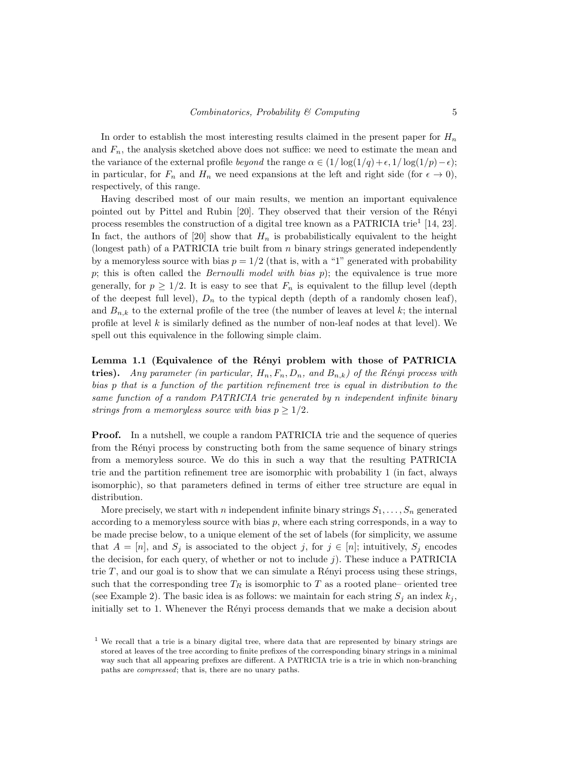In order to establish the most interesting results claimed in the present paper for  $H_n$ and  $F_n$ , the analysis sketched above does not suffice: we need to estimate the mean and the variance of the external profile *beyond* the range  $\alpha \in (1/\log(1/q) + \epsilon, 1/\log(1/p) - \epsilon)$ ; in particular, for  $F_n$  and  $H_n$  we need expansions at the left and right side (for  $\epsilon \to 0$ ), respectively, of this range.

Having described most of our main results, we mention an important equivalence pointed out by Pittel and Rubin [20]. They observed that their version of the Rényi process resembles the construction of a digital tree known as a PATRICIA trie<sup>1</sup> [14, 23]. In fact, the authors of [20] show that  $H_n$  is probabilistically equivalent to the height (longest path) of a PATRICIA trie built from  $n$  binary strings generated independently by a memoryless source with bias  $p = 1/2$  (that is, with a "1" generated with probability p; this is often called the *Bernoulli model with bias* p); the equivalence is true more generally, for  $p \geq 1/2$ . It is easy to see that  $F_n$  is equivalent to the fillup level (depth of the deepest full level),  $D_n$  to the typical depth (depth of a randomly chosen leaf), and  $B_{n,k}$  to the external profile of the tree (the number of leaves at level k; the internal profile at level  $k$  is similarly defined as the number of non-leaf nodes at that level). We spell out this equivalence in the following simple claim.

Lemma 1.1 (Equivalence of the Rényi problem with those of PATRICIA tries). *Any parameter (in particular,*  $H_n$ ,  $F_n$ ,  $D_n$ , and  $B_{n,k}$ ) of the Rényi process with *bias* p *that is a function of the partition refinement tree is equal in distribution to the same function of a random PATRICIA trie generated by* n *independent infinite binary strings from a memoryless source with bias*  $p \geq 1/2$ *.* 

Proof. In a nutshell, we couple a random PATRICIA trie and the sequence of queries from the Rényi process by constructing both from the same sequence of binary strings from a memoryless source. We do this in such a way that the resulting PATRICIA trie and the partition refinement tree are isomorphic with probability 1 (in fact, always isomorphic), so that parameters defined in terms of either tree structure are equal in distribution.

More precisely, we start with n independent infinite binary strings  $S_1, \ldots, S_n$  generated according to a memoryless source with bias  $p$ , where each string corresponds, in a way to be made precise below, to a unique element of the set of labels (for simplicity, we assume that  $A = [n]$ , and  $S_j$  is associated to the object j, for  $j \in [n]$ ; intuitively,  $S_j$  encodes the decision, for each query, of whether or not to include  $j$ ). These induce a PATRICIA trie  $T$ , and our goal is to show that we can simulate a Rényi process using these strings, such that the corresponding tree  $T_R$  is isomorphic to T as a rooted plane– oriented tree (see Example 2). The basic idea is as follows: we maintain for each string  $S_i$  an index  $k_i$ , initially set to 1. Whenever the Rényi process demands that we make a decision about

<sup>&</sup>lt;sup>1</sup> We recall that a trie is a binary digital tree, where data that are represented by binary strings are stored at leaves of the tree according to finite prefixes of the corresponding binary strings in a minimal way such that all appearing prefixes are different. A PATRICIA trie is a trie in which non-branching paths are compressed; that is, there are no unary paths.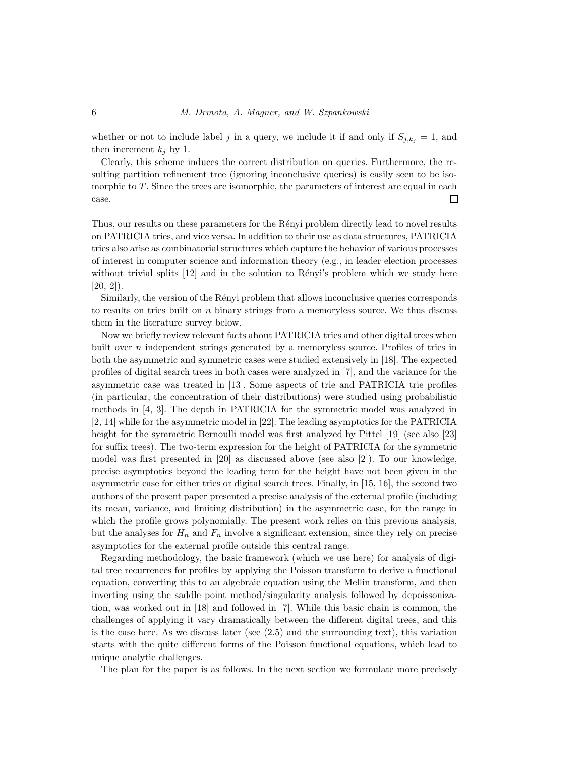whether or not to include label j in a query, we include it if and only if  $S_{i,k_i} = 1$ , and then increment  $k_i$  by 1.

Clearly, this scheme induces the correct distribution on queries. Furthermore, the resulting partition refinement tree (ignoring inconclusive queries) is easily seen to be isomorphic to  $T$ . Since the trees are isomorphic, the parameters of interest are equal in each case.  $\Box$ 

Thus, our results on these parameters for the Rényi problem directly lead to novel results on PATRICIA tries, and vice versa. In addition to their use as data structures, PATRICIA tries also arise as combinatorial structures which capture the behavior of various processes of interest in computer science and information theory (e.g., in leader election processes without trivial splits  $[12]$  and in the solution to Rényi's problem which we study here  $[20, 2]$ ).

Similarly, the version of the Rényi problem that allows inconclusive queries corresponds to results on tries built on  $n$  binary strings from a memoryless source. We thus discuss them in the literature survey below.

Now we briefly review relevant facts about PATRICIA tries and other digital trees when built over *n* independent strings generated by a memoryless source. Profiles of tries in both the asymmetric and symmetric cases were studied extensively in [18]. The expected profiles of digital search trees in both cases were analyzed in [7], and the variance for the asymmetric case was treated in [13]. Some aspects of trie and PATRICIA trie profiles (in particular, the concentration of their distributions) were studied using probabilistic methods in [4, 3]. The depth in PATRICIA for the symmetric model was analyzed in [2, 14] while for the asymmetric model in [22]. The leading asymptotics for the PATRICIA height for the symmetric Bernoulli model was first analyzed by Pittel [19] (see also [23] for suffix trees). The two-term expression for the height of PATRICIA for the symmetric model was first presented in [20] as discussed above (see also [2]). To our knowledge, precise asymptotics beyond the leading term for the height have not been given in the asymmetric case for either tries or digital search trees. Finally, in [15, 16], the second two authors of the present paper presented a precise analysis of the external profile (including its mean, variance, and limiting distribution) in the asymmetric case, for the range in which the profile grows polynomially. The present work relies on this previous analysis, but the analyses for  $H_n$  and  $F_n$  involve a significant extension, since they rely on precise asymptotics for the external profile outside this central range.

Regarding methodology, the basic framework (which we use here) for analysis of digital tree recurrences for profiles by applying the Poisson transform to derive a functional equation, converting this to an algebraic equation using the Mellin transform, and then inverting using the saddle point method/singularity analysis followed by depoissonization, was worked out in [18] and followed in [7]. While this basic chain is common, the challenges of applying it vary dramatically between the different digital trees, and this is the case here. As we discuss later (see (2.5) and the surrounding text), this variation starts with the quite different forms of the Poisson functional equations, which lead to unique analytic challenges.

The plan for the paper is as follows. In the next section we formulate more precisely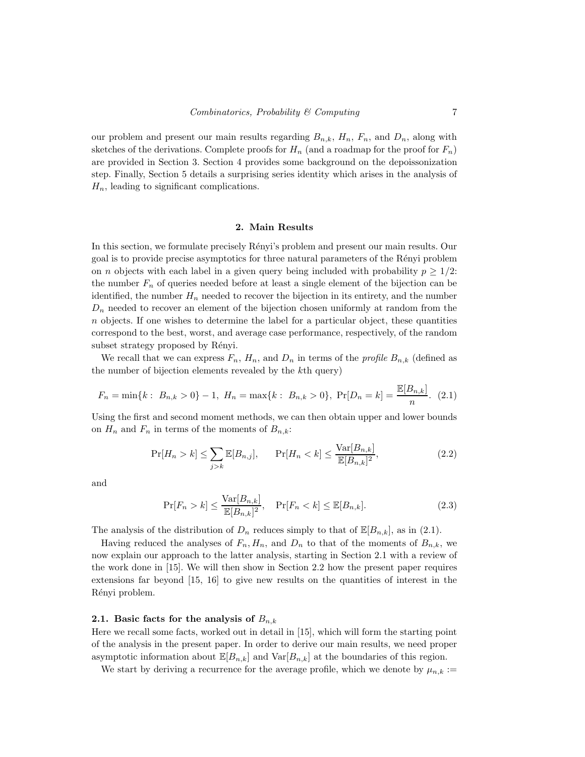our problem and present our main results regarding  $B_{n,k}$ ,  $H_n$ ,  $F_n$ , and  $D_n$ , along with sketches of the derivations. Complete proofs for  $H_n$  (and a roadmap for the proof for  $F_n$ ) are provided in Section 3. Section 4 provides some background on the depoissonization step. Finally, Section 5 details a surprising series identity which arises in the analysis of  $H_n$ , leading to significant complications.

#### 2. Main Results

In this section, we formulate precisely Rényi's problem and present our main results. Our goal is to provide precise asymptotics for three natural parameters of the R´enyi problem on *n* objects with each label in a given query being included with probability  $p \geq 1/2$ : the number  $F_n$  of queries needed before at least a single element of the bijection can be identified, the number  $H_n$  needed to recover the bijection in its entirety, and the number  $D_n$  needed to recover an element of the bijection chosen uniformly at random from the n objects. If one wishes to determine the label for a particular object, these quantities correspond to the best, worst, and average case performance, respectively, of the random subset strategy proposed by Rényi.

We recall that we can express  $F_n$ ,  $H_n$ , and  $D_n$  in terms of the *profile*  $B_{n,k}$  (defined as the number of bijection elements revealed by the kth query)

$$
F_n = \min\{k : B_{n,k} > 0\} - 1, H_n = \max\{k : B_{n,k} > 0\}, \Pr[D_n = k] = \frac{\mathbb{E}[B_{n,k}]}{n}.
$$
 (2.1)

Using the first and second moment methods, we can then obtain upper and lower bounds on  $H_n$  and  $F_n$  in terms of the moments of  $B_{n,k}$ :

$$
\Pr[H_n > k] \le \sum_{j>k} \mathbb{E}[B_{n,j}], \qquad \Pr[H_n < k] \le \frac{\text{Var}[B_{n,k}]}{\mathbb{E}[B_{n,k}]^2},\tag{2.2}
$$

and

$$
\Pr[F_n > k] \le \frac{\text{Var}[B_{n,k}]}{\mathbb{E}[B_{n,k}]^2}, \quad \Pr[F_n < k] \le \mathbb{E}[B_{n,k}].
$$
\n(2.3)

The analysis of the distribution of  $D_n$  reduces simply to that of  $\mathbb{E}[B_{n,k}]$ , as in (2.1).

Having reduced the analyses of  $F_n, H_n$ , and  $D_n$  to that of the moments of  $B_{n,k}$ , we now explain our approach to the latter analysis, starting in Section 2.1 with a review of the work done in [15]. We will then show in Section 2.2 how the present paper requires extensions far beyond [15, 16] to give new results on the quantities of interest in the Rényi problem.

#### 2.1. Basic facts for the analysis of  $B_{n,k}$

Here we recall some facts, worked out in detail in [15], which will form the starting point of the analysis in the present paper. In order to derive our main results, we need proper asymptotic information about  $\mathbb{E}[B_{n,k}]$  and  $\text{Var}[B_{n,k}]$  at the boundaries of this region.

We start by deriving a recurrence for the average profile, which we denote by  $\mu_{n,k}$  :=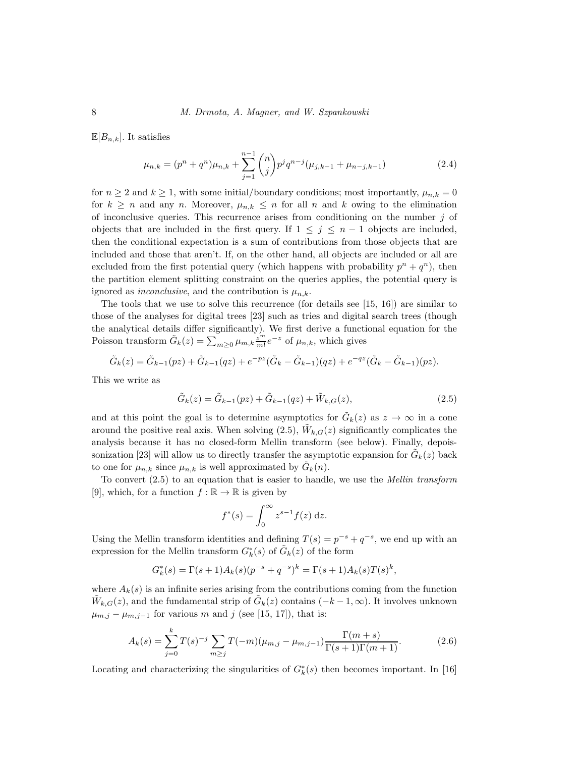$\mathbb{E}[B_{n,k}].$  It satisfies

$$
\mu_{n,k} = (p^n + q^n)\mu_{n,k} + \sum_{j=1}^{n-1} \binom{n}{j} p^j q^{n-j} (\mu_{j,k-1} + \mu_{n-j,k-1})
$$
\n(2.4)

for  $n \geq 2$  and  $k \geq 1$ , with some initial/boundary conditions; most importantly,  $\mu_{n,k} = 0$ for  $k \geq n$  and any n. Moreover,  $\mu_{n,k} \leq n$  for all n and k owing to the elimination of inconclusive queries. This recurrence arises from conditioning on the number  $j$  of objects that are included in the first query. If  $1 \leq j \leq n-1$  objects are included, then the conditional expectation is a sum of contributions from those objects that are included and those that aren't. If, on the other hand, all objects are included or all are excluded from the first potential query (which happens with probability  $p^{n} + q^{n}$ ), then the partition element splitting constraint on the queries applies, the potential query is ignored as *inconclusive*, and the contribution is  $\mu_{n,k}$ .

The tools that we use to solve this recurrence (for details see [15, 16]) are similar to those of the analyses for digital trees [23] such as tries and digital search trees (though the analytical details differ significantly). We first derive a functional equation for the Poisson transform  $\tilde{G}_k(z) = \sum_{m \geq 0} \mu_{m,k} \frac{z^m}{m!} e^{-z}$  of  $\mu_{n,k}$ , which gives

$$
\tilde{G}_k(z) = \tilde{G}_{k-1}(pz) + \tilde{G}_{k-1}(qz) + e^{-pz}(\tilde{G}_k - \tilde{G}_{k-1})(qz) + e^{-qz}(\tilde{G}_k - \tilde{G}_{k-1})(pz).
$$

This we write as

$$
\tilde{G}_k(z) = \tilde{G}_{k-1}(pz) + \tilde{G}_{k-1}(qz) + \tilde{W}_{k,G}(z),
$$
\n(2.5)

and at this point the goal is to determine asymptotics for  $\tilde{G}_k(z)$  as  $z \to \infty$  in a cone around the positive real axis. When solving  $(2.5)$ ,  $\tilde{W}_{k,G}(z)$  significantly complicates the analysis because it has no closed-form Mellin transform (see below). Finally, depoissonization [23] will allow us to directly transfer the asymptotic expansion for  $\tilde{G}_k(z)$  back to one for  $\mu_{n,k}$  since  $\mu_{n,k}$  is well approximated by  $\tilde{G}_k(n)$ .

To convert (2.5) to an equation that is easier to handle, we use the *Mellin transform* [9], which, for a function  $f : \mathbb{R} \to \mathbb{R}$  is given by

$$
f^*(s) = \int_0^\infty z^{s-1} f(z) \, \mathrm{d}z.
$$

Using the Mellin transform identities and defining  $T(s) = p^{-s} + q^{-s}$ , we end up with an expression for the Mellin transform  $G_k^*(s)$  of  $\tilde{G}_k(z)$  of the form

$$
G_k^*(s) = \Gamma(s+1)A_k(s)(p^{-s} + q^{-s})^k = \Gamma(s+1)A_k(s)T(s)^k,
$$

where  $A_k(s)$  is an infinite series arising from the contributions coming from the function  $\tilde{W}_{k,G}(z)$ , and the fundamental strip of  $\tilde{G}_k(z)$  contains  $(-k-1,\infty)$ . It involves unknown  $\mu_{m,j} - \mu_{m,j-1}$  for various m and j (see [15, 17]), that is:

$$
A_k(s) = \sum_{j=0}^k T(s)^{-j} \sum_{m \ge j} T(-m) (\mu_{m,j} - \mu_{m,j-1}) \frac{\Gamma(m+s)}{\Gamma(s+1)\Gamma(m+1)}.
$$
 (2.6)

Locating and characterizing the singularities of  $G_k^*(s)$  then becomes important. In [16]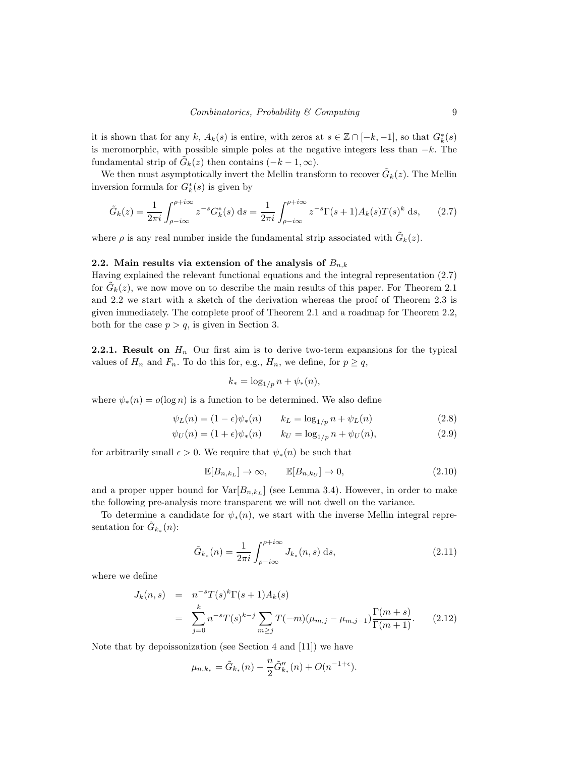it is shown that for any k,  $A_k(s)$  is entire, with zeros at  $s \in \mathbb{Z} \cap [-k, -1]$ , so that  $G_k^*(s)$ is meromorphic, with possible simple poles at the negative integers less than  $-k$ . The fundamental strip of  $\tilde{G}_k(z)$  then contains  $(-k-1,\infty)$ .

We then must asymptotically invert the Mellin transform to recover  $\tilde{G}_k(z)$ . The Mellin inversion formula for  $G_k^*(s)$  is given by

$$
\tilde{G}_k(z) = \frac{1}{2\pi i} \int_{\rho - i\infty}^{\rho + i\infty} z^{-s} G_k^*(s) \, \mathrm{d}s = \frac{1}{2\pi i} \int_{\rho - i\infty}^{\rho + i\infty} z^{-s} \Gamma(s+1) A_k(s) T(s)^k \, \mathrm{d}s,\qquad(2.7)
$$

where  $\rho$  is any real number inside the fundamental strip associated with  $\tilde{G}_k(z)$ .

## 2.2. Main results via extension of the analysis of  $B_{n,k}$

Having explained the relevant functional equations and the integral representation (2.7) for  $\tilde{G}_k(z)$ , we now move on to describe the main results of this paper. For Theorem 2.1 and 2.2 we start with a sketch of the derivation whereas the proof of Theorem 2.3 is given immediately. The complete proof of Theorem 2.1 and a roadmap for Theorem 2.2, both for the case  $p > q$ , is given in Section 3.

**2.2.1.** Result on  $H_n$  Our first aim is to derive two-term expansions for the typical values of  $H_n$  and  $F_n$ . To do this for, e.g.,  $H_n$ , we define, for  $p \ge q$ ,

$$
k_* = \log_{1/p} n + \psi_*(n),
$$

where  $\psi_*(n) = o(\log n)$  is a function to be determined. We also define

$$
\psi_L(n) = (1 - \epsilon)\psi_*(n) \qquad k_L = \log_{1/p} n + \psi_L(n) \tag{2.8}
$$

$$
\psi_U(n) = (1 + \epsilon)\psi_*(n) \qquad k_U = \log_{1/p} n + \psi_U(n), \tag{2.9}
$$

for arbitrarily small  $\epsilon > 0$ . We require that  $\psi_*(n)$  be such that

$$
\mathbb{E}[B_{n,k_L}] \to \infty, \qquad \mathbb{E}[B_{n,k_U}] \to 0,
$$
\n(2.10)

and a proper upper bound for  $Var[B_{n,k_L}]$  (see Lemma 3.4). However, in order to make the following pre-analysis more transparent we will not dwell on the variance.

To determine a candidate for  $\psi_*(n)$ , we start with the inverse Mellin integral representation for  $\tilde{G}_{k_*}(n)$ :

$$
\tilde{G}_{k_*}(n) = \frac{1}{2\pi i} \int_{\rho - i\infty}^{\rho + i\infty} J_{k_*}(n, s) \, \mathrm{d}s,\tag{2.11}
$$

where we define

$$
J_k(n,s) = n^{-s} T(s)^k \Gamma(s+1) A_k(s)
$$
  
= 
$$
\sum_{j=0}^k n^{-s} T(s)^{k-j} \sum_{m \ge j} T(-m) (\mu_{m,j} - \mu_{m,j-1}) \frac{\Gamma(m+s)}{\Gamma(m+1)}.
$$
 (2.12)

Note that by depoissonization (see Section 4 and [11]) we have

$$
\mu_{n,k_*} = \tilde{G}_{k_*}(n) - \frac{n}{2} \tilde{G}_{k_*}''(n) + O(n^{-1+\epsilon}).
$$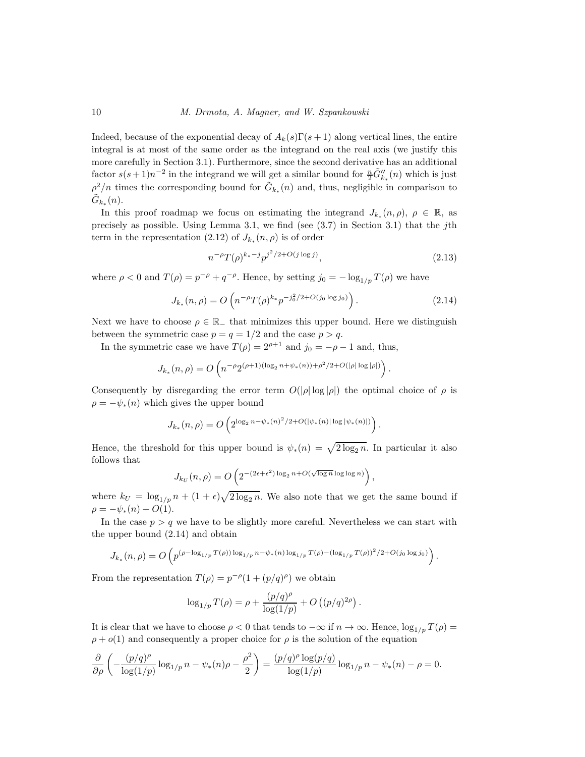Indeed, because of the exponential decay of  $A_k(s)\Gamma(s+1)$  along vertical lines, the entire integral is at most of the same order as the integrand on the real axis (we justify this more carefully in Section 3.1). Furthermore, since the second derivative has an additional factor  $s(s+1)n^{-2}$  in the integrand we will get a similar bound for  $\frac{n}{2}\tilde{G}''_{k_*}(n)$  which is just  $\rho^2/n$  times the corresponding bound for  $\tilde{G}_{k_*}(n)$  and, thus, negligible in comparison to  $\tilde{G}_{k_*}(n)$ .

In this proof roadmap we focus on estimating the integrand  $J_{k_*}(n, \rho)$ ,  $\rho \in \mathbb{R}$ , as precisely as possible. Using Lemma 3.1, we find (see  $(3.7)$  in Section 3.1) that the jth term in the representation (2.12) of  $J_{k_*}(n,\rho)$  is of order

$$
n^{-\rho}T(\rho)^{k_*-j}p^{j^2/2+O(j\log j)},\tag{2.13}
$$

where  $\rho < 0$  and  $T(\rho) = p^{-\rho} + q^{-\rho}$ . Hence, by setting  $j_0 = -\log_{1/p} T(\rho)$  we have

$$
J_{k_*}(n,\rho) = O\left(n^{-\rho}T(\rho)^{k_*}p^{-j_0^2/2 + O(j_0 \log j_0)}\right).
$$
 (2.14)

Next we have to choose  $\rho \in \mathbb{R}_-$  that minimizes this upper bound. Here we distinguish between the symmetric case  $p = q = 1/2$  and the case  $p > q$ .

In the symmetric case we have  $T(\rho) = 2^{\rho+1}$  and  $j_0 = -\rho - 1$  and, thus,

$$
J_{k_*}(n,\rho) = O\left(n^{-\rho}2^{(\rho+1)(\log_2 n + \psi_*(n)) + \rho^2/2 + O(|\rho|\log|\rho|)}\right).
$$

Consequently by disregarding the error term  $O(|\rho| \log |\rho|)$  the optimal choice of  $\rho$  is  $\rho = -\psi_*(n)$  which gives the upper bound

$$
J_{k_*}(n,\rho) = O\left(2^{\log_2 n - \psi_*(n)^2/2 + O(|\psi_*(n)| \log |\psi_*(n)|)}\right).
$$

Hence, the threshold for this upper bound is  $\psi_*(n) = \sqrt{2 \log_2 n}$ . In particular it also follows that

$$
J_{k_U}(n,\rho) = O\left(2^{-(2\epsilon + \epsilon^2) \log_2 n + O(\sqrt{\log n} \log \log n)}\right),
$$

where  $k_U = \log_{1/p} n + (1+\epsilon)\sqrt{2\log_2 n}$ . We also note that we get the same bound if  $\rho = -\psi_*(n) + O(1).$ 

In the case  $p > q$  we have to be slightly more careful. Nevertheless we can start with the upper bound (2.14) and obtain

$$
J_{k_*}(n,\rho) = O\left(p^{(\rho - \log_{1/p} T(\rho)) \log_{1/p} n - \psi_*(n) \log_{1/p} T(\rho) - (\log_{1/p} T(\rho))^2/2 + O(j_0 \log j_0)}\right).
$$

From the representation  $T(\rho) = p^{-\rho}(1 + (p/q)^{\rho})$  we obtain

$$
\log_{1/p} T(\rho) = \rho + \frac{(p/q)^{\rho}}{\log(1/p)} + O((p/q)^{2\rho}).
$$

It is clear that we have to choose  $\rho < 0$  that tends to  $-\infty$  if  $n \to \infty$ . Hence,  $\log_{1/p} T(\rho) =$  $\rho + o(1)$  and consequently a proper choice for  $\rho$  is the solution of the equation

$$
\frac{\partial}{\partial \rho} \left( -\frac{(p/q)^{\rho}}{\log(1/p)} \log_{1/p} n - \psi_*(n)\rho - \frac{\rho^2}{2} \right) = \frac{(p/q)^{\rho} \log(p/q)}{\log(1/p)} \log_{1/p} n - \psi_*(n) - \rho = 0.
$$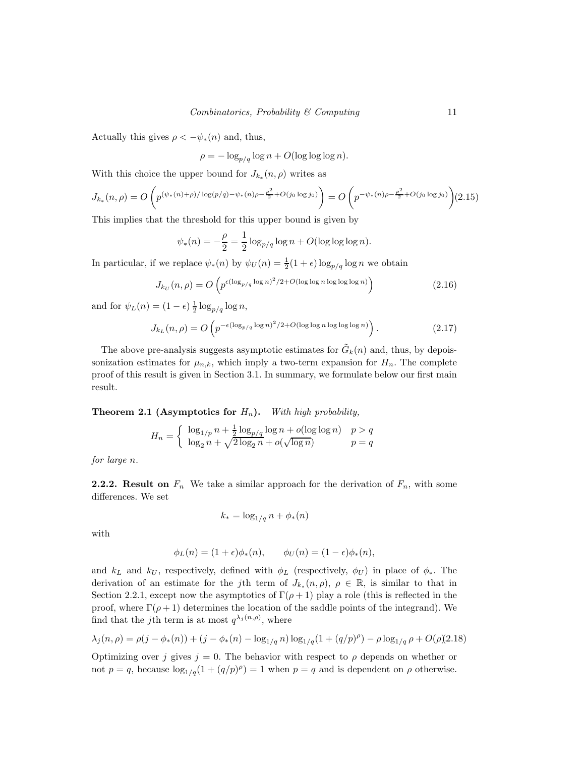Actually this gives  $\rho < -\psi_*(n)$  and, thus,

$$
\rho = -\log_{p/q} \log n + O(\log \log \log n).
$$

With this choice the upper bound for  $J_{k_*}(n,\rho)$  writes as

$$
J_{k_*}(n,\rho) = O\left(p^{(\psi_*(n)+\rho)/\log(p/q) - \psi_*(n)\rho - \frac{\rho^2}{2} + O(j_0 \log j_0)}\right) = O\left(p^{-\psi_*(n)\rho - \frac{\rho^2}{2} + O(j_0 \log j_0)}\right)
$$
(2.15)

This implies that the threshold for this upper bound is given by

$$
\psi_*(n) = -\frac{\rho}{2} = \frac{1}{2}\log_{p/q}\log n + O(\log\log\log n).
$$

In particular, if we replace  $\psi_*(n)$  by  $\psi_U(n) = \frac{1}{2}(1+\epsilon) \log_{p/q} \log n$  we obtain

$$
J_{k_U}(n,\rho) = O\left(p^{\epsilon(\log_{p/q}\log n)^2/2 + O(\log\log n \log\log\log n)}\right)
$$
\n(2.16)

and for  $\psi_L(n) = (1 - \epsilon) \frac{1}{2} \log_{p/q} \log n$ ,

$$
J_{k_L}(n,\rho) = O\left(p^{-\epsilon(\log_{p/q}\log n)^2/2 + O(\log\log n \log\log n)}\right). \tag{2.17}
$$

The above pre-analysis suggests asymptotic estimates for  $\tilde{G}_k(n)$  and, thus, by depoissonization estimates for  $\mu_{n,k}$ , which imply a two-term expansion for  $H_n$ . The complete proof of this result is given in Section 3.1. In summary, we formulate below our first main result.

Theorem 2.1 (Asymptotics for Hn). *With high probability,*

$$
H_n = \begin{cases} \log_{1/p} n + \frac{1}{2} \log_{p/q} \log n + o(\log \log n) & p > q \\ \log_2 n + \sqrt{2 \log_2 n} + o(\sqrt{\log n}) & p = q \end{cases}
$$

*for large* n*.*

**2.2.2.** Result on  $F_n$  We take a similar approach for the derivation of  $F_n$ , with some differences. We set

$$
k_* = \log_{1/q} n + \phi_*(n)
$$

with

$$
\phi_L(n) = (1+\epsilon)\phi_*(n), \qquad \phi_U(n) = (1-\epsilon)\phi_*(n),
$$

and  $k<sub>L</sub>$  and  $k<sub>U</sub>$ , respectively, defined with  $\phi<sub>L</sub>$  (respectively,  $\phi<sub>U</sub>$ ) in place of  $\phi<sub>*</sub>$ . The derivation of an estimate for the jth term of  $J_{k*}(n, \rho)$ ,  $\rho \in \mathbb{R}$ , is similar to that in Section 2.2.1, except now the asymptotics of  $\Gamma(\rho+1)$  play a role (this is reflected in the proof, where  $\Gamma(\rho+1)$  determines the location of the saddle points of the integrand). We find that the *j*th term is at most  $q^{\lambda_j(n,\rho)}$ , where

$$
\lambda_j(n,\rho) = \rho(j-\phi_*(n)) + (j-\phi_*(n) - \log_{1/q} n) \log_{1/q} (1 + (q/p)^\rho) - \rho \log_{1/q} \rho + O(\rho)(2.18)
$$

Optimizing over j gives  $j = 0$ . The behavior with respect to  $\rho$  depends on whether or not  $p = q$ , because  $\log_{1/q}(1 + (q/p)^{\rho}) = 1$  when  $p = q$  and is dependent on  $\rho$  otherwise.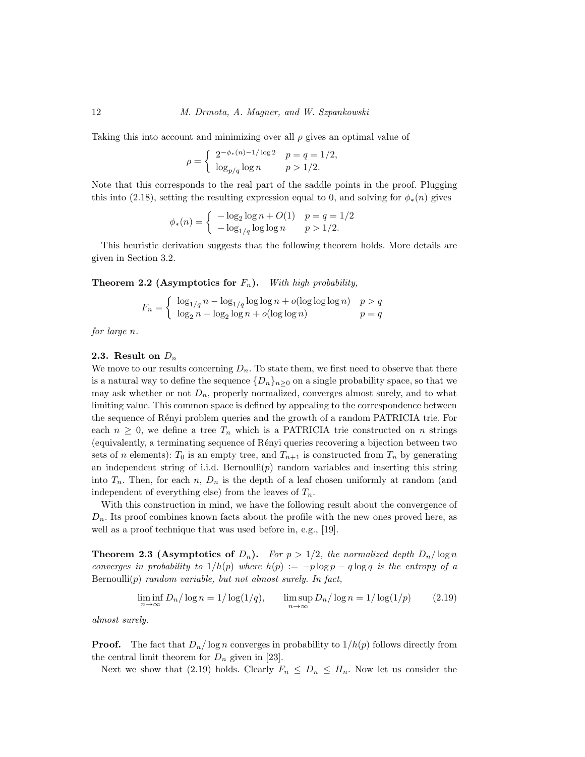Taking this into account and minimizing over all  $\rho$  gives an optimal value of

$$
\rho = \begin{cases} 2^{-\phi_*(n) - 1/\log 2} & p = q = 1/2, \\ \log_{p/q} \log n & p > 1/2. \end{cases}
$$

Note that this corresponds to the real part of the saddle points in the proof. Plugging this into (2.18), setting the resulting expression equal to 0, and solving for  $\phi_*(n)$  gives

$$
\phi_*(n) = \begin{cases}\n-\log_2 \log n + O(1) & p = q = 1/2 \\
-\log_{1/q} \log \log n & p > 1/2.\n\end{cases}
$$

This heuristic derivation suggests that the following theorem holds. More details are given in Section 3.2.

Theorem 2.2 (Asymptotics for Fn). *With high probability,*

$$
F_n = \begin{cases} \log_{1/q} n - \log_{1/q} \log \log n + o(\log \log \log n) & p > q \\ \log_2 n - \log_2 \log n + o(\log \log n) & p = q \end{cases}
$$

*for large* n*.*

## 2.3. Result on  $D_n$

We move to our results concerning  $D_n$ . To state them, we first need to observe that there is a natural way to define the sequence  $\{D_n\}_{n\geq 0}$  on a single probability space, so that we may ask whether or not  $D_n$ , properly normalized, converges almost surely, and to what limiting value. This common space is defined by appealing to the correspondence between the sequence of R´enyi problem queries and the growth of a random PATRICIA trie. For each  $n \geq 0$ , we define a tree  $T_n$  which is a PATRICIA trie constructed on n strings (equivalently, a terminating sequence of R´enyi queries recovering a bijection between two sets of n elements):  $T_0$  is an empty tree, and  $T_{n+1}$  is constructed from  $T_n$  by generating an independent string of i.i.d. Bernoulli $(p)$  random variables and inserting this string into  $T_n$ . Then, for each n,  $D_n$  is the depth of a leaf chosen uniformly at random (and independent of everything else) from the leaves of  $T_n$ .

With this construction in mind, we have the following result about the convergence of  $D_n$ . Its proof combines known facts about the profile with the new ones proved here, as well as a proof technique that was used before in, e.g., [19].

**Theorem 2.3 (Asymptotics of**  $D_n$ **).** *For*  $p > 1/2$ *, the normalized depth*  $D_n / \log n$ *converges in probability to*  $1/h(p)$  *where*  $h(p) := -p \log p - q \log q$  *is the entropy of a* Bernoulli(p) *random variable, but not almost surely. In fact,*

$$
\liminf_{n \to \infty} D_n / \log n = 1 / \log(1/q), \qquad \limsup_{n \to \infty} D_n / \log n = 1 / \log(1/p) \tag{2.19}
$$

*almost surely.*

**Proof.** The fact that  $D_n/\log n$  converges in probability to  $1/h(p)$  follows directly from the central limit theorem for  $D_n$  given in [23].

Next we show that (2.19) holds. Clearly  $F_n \leq D_n \leq H_n$ . Now let us consider the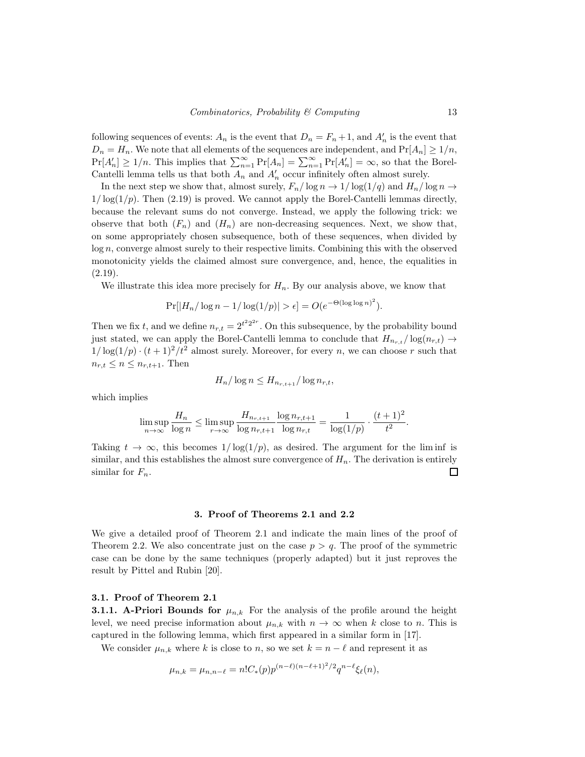following sequences of events:  $A_n$  is the event that  $D_n = F_n + 1$ , and  $A'_n$  is the event that  $D_n = H_n$ . We note that all elements of the sequences are independent, and  $Pr[A_n] \geq 1/n$ ,  $Pr[A'_n] \ge 1/n$ . This implies that  $\sum_{n=1}^{\infty} Pr[A_n] = \sum_{n=1}^{\infty} Pr[A'_n] = \infty$ , so that the Borel-Cantelli lemma tells us that both  $A_n$  and  $A'_n$  occur infinitely often almost surely.

In the next step we show that, almost surely,  $F_n/\log n \to 1/\log(1/q)$  and  $H_n/\log n \to$  $1/\log(1/p)$ . Then (2.19) is proved. We cannot apply the Borel-Cantelli lemmas directly, because the relevant sums do not converge. Instead, we apply the following trick: we observe that both  $(F_n)$  and  $(H_n)$  are non-decreasing sequences. Next, we show that, on some appropriately chosen subsequence, both of these sequences, when divided by log n, converge almost surely to their respective limits. Combining this with the observed monotonicity yields the claimed almost sure convergence, and, hence, the equalities in  $(2.19).$ 

We illustrate this idea more precisely for  $H_n$ . By our analysis above, we know that

$$
Pr[|H_n/\log n - 1/\log(1/p)| > \epsilon] = O(e^{-\Theta(\log \log n)^2}).
$$

Then we fix t, and we define  $n_{r,t} = 2^{t^2 2^{2r}}$ . On this subsequence, by the probability bound just stated, we can apply the Borel-Cantelli lemma to conclude that  $H_{n_{r,t}} / \log(n_{r,t}) \rightarrow$  $1/\log(1/p) \cdot (t+1)^2/t^2$  almost surely. Moreover, for every n, we can choose r such that  $n_{r,t} \leq n \leq n_{r,t+1}$ . Then

$$
H_n/\log n \le H_{n_{r,t+1}}/\log n_{r,t},
$$

which implies

$$
\limsup_{n \to \infty} \frac{H_n}{\log n} \le \limsup_{r \to \infty} \frac{H_{n_{r,t+1}}}{\log n_{r,t+1}} \frac{\log n_{r,t+1}}{\log n_{r,t}} = \frac{1}{\log(1/p)} \cdot \frac{(t+1)^2}{t^2}.
$$

Taking  $t \to \infty$ , this becomes  $1/\log(1/p)$ , as desired. The argument for the liminf is similar, and this establishes the almost sure convergence of  $H_n$ . The derivation is entirely similar for  $F_n$ .  $\Box$ 

#### 3. Proof of Theorems 2.1 and 2.2

We give a detailed proof of Theorem 2.1 and indicate the main lines of the proof of Theorem 2.2. We also concentrate just on the case  $p > q$ . The proof of the symmetric case can be done by the same techniques (properly adapted) but it just reproves the result by Pittel and Rubin [20].

## 3.1. Proof of Theorem 2.1

**3.1.1.** A-Priori Bounds for  $\mu_{n,k}$  For the analysis of the profile around the height level, we need precise information about  $\mu_{n,k}$  with  $n \to \infty$  when k close to n. This is captured in the following lemma, which first appeared in a similar form in [17].

We consider  $\mu_{n,k}$  where k is close to n, so we set  $k = n - \ell$  and represent it as

$$
\mu_{n,k} = \mu_{n,n-\ell} = n! C_*(p) p^{(n-\ell)(n-\ell+1)^2/2} q^{n-\ell} \xi_\ell(n),
$$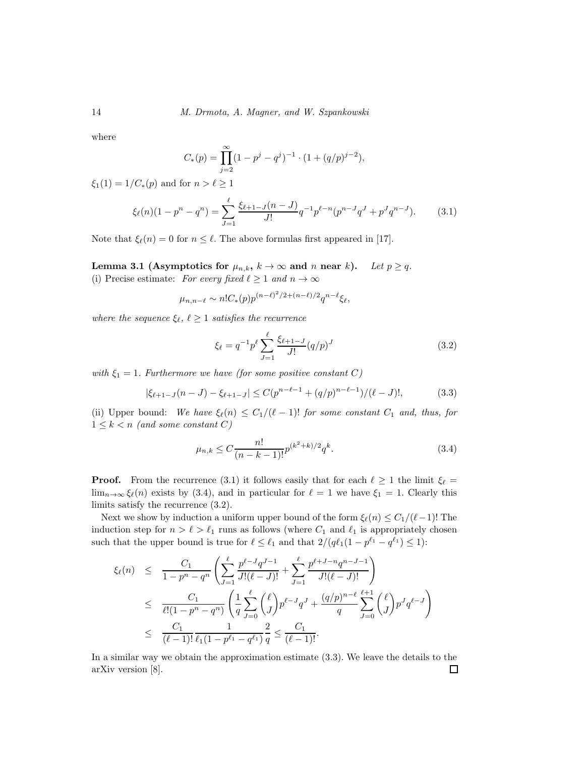where

$$
C_*(p) = \prod_{j=2}^{\infty} (1 - p^j - q^j)^{-1} \cdot (1 + (q/p)^{j-2}),
$$

 $\xi_1(1) = 1/C_*(p)$  and for  $n > \ell \ge 1$ 

$$
\xi_{\ell}(n)(1 - p^n - q^n) = \sum_{J=1}^{\ell} \frac{\xi_{\ell+1-J}(n-J)}{J!} q^{-1} p^{\ell-n} (p^{n-J} q^J + p^J q^{n-J}). \tag{3.1}
$$

Note that  $\xi_{\ell}(n) = 0$  for  $n \leq \ell$ . The above formulas first appeared in [17].

Lemma 3.1 (Asymptotics for  $\mu_{n,k}$ ,  $k \to \infty$  and n near k). Let  $p \ge q$ . (i) Precise estimate: *For every fixed*  $\ell \geq 1$  *and*  $n \to \infty$ 

$$
\mu_{n,n-\ell} \sim n! C_*(p) p^{(n-\ell)^2/2 + (n-\ell)/2} q^{n-\ell} \xi_\ell,
$$

*where the sequence*  $\xi_{\ell}$ ,  $\ell \geq 1$  *satisfies the recurrence* 

$$
\xi_{\ell} = q^{-1} p^{\ell} \sum_{J=1}^{\ell} \frac{\xi_{\ell+1-J}}{J!} (q/p)^{J}
$$
 (3.2)

*with*  $\xi_1 = 1$ *. Furthermore we have (for some positive constant* C)

$$
|\xi_{\ell+1-J}(n-J) - \xi_{\ell+1-J}| \le C(p^{n-\ell-1} + (q/p)^{n-\ell-1})/(\ell-J)!,\tag{3.3}
$$

(ii) Upper bound: We have  $\xi_{\ell}(n) \leq C_1/(\ell-1)!$  *for some constant*  $C_1$  *and, thus, for*  $1 \leq k < n$  *(and some constant C)* 

$$
\mu_{n,k} \le C \frac{n!}{(n-k-1)!} p^{(k^2+k)/2} q^k.
$$
\n(3.4)

**Proof.** From the recurrence (3.1) it follows easily that for each  $\ell \geq 1$  the limit  $\xi_{\ell} =$  $\lim_{n\to\infty}\xi_{\ell}(n)$  exists by (3.4), and in particular for  $\ell=1$  we have  $\xi_1=1$ . Clearly this limits satisfy the recurrence (3.2).

Next we show by induction a uniform upper bound of the form  $\xi_{\ell}(n) \leq C_1/(\ell-1)!$  The induction step for  $n > \ell > \ell_1$  runs as follows (where  $C_1$  and  $\ell_1$  is appropriately chosen such that the upper bound is true for  $\ell \leq \ell_1$  and that  $2/(q\ell_1(1-p^{\ell_1}-q^{\ell_1}) \leq 1)$ :

$$
\xi_{\ell}(n) \leq \frac{C_1}{1 - p^n - q^n} \left( \sum_{J=1}^{\ell} \frac{p^{\ell-J} q^{J-1}}{J!(\ell-J)!} + \sum_{J=1}^{\ell} \frac{p^{\ell+J-n} q^{n-J-1}}{J!(\ell-J)!} \right)
$$
  
\n
$$
\leq \frac{C_1}{\ell!(1 - p^n - q^n)} \left( \frac{1}{q} \sum_{J=0}^{\ell} {\ell \choose J} p^{\ell-J} q^J + \frac{(q/p)^{n-\ell}}{q} \sum_{J=0}^{\ell+1} {\ell \choose J} p^J q^{\ell-J} \right)
$$
  
\n
$$
\leq \frac{C_1}{(\ell-1)!} \frac{1}{\ell_1(1 - p^{\ell_1} - q^{\ell_1})} \frac{2}{q} \leq \frac{C_1}{(\ell-1)!}.
$$

In a similar way we obtain the approximation estimate (3.3). We leave the details to the arXiv version [8]. $\Box$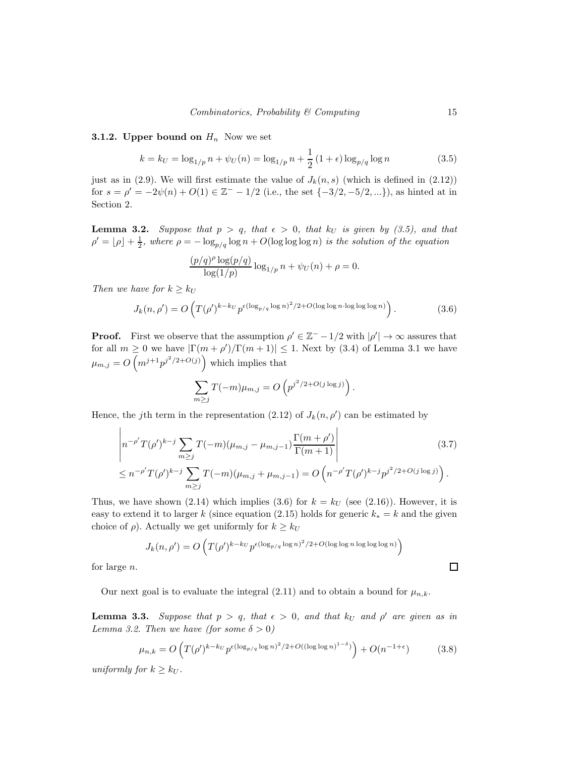## **3.1.2. Upper bound on**  $H_n$  Now we set

$$
k = k_U = \log_{1/p} n + \psi_U(n) = \log_{1/p} n + \frac{1}{2} (1 + \epsilon) \log_{p/q} \log n \tag{3.5}
$$

just as in (2.9). We will first estimate the value of  $J_k(n, s)$  (which is defined in (2.12)) for  $s = \rho' = -2\psi(n) + O(1) \in \mathbb{Z}^{-} - 1/2$  (i.e., the set  $\{-3/2, -5/2, ...\}$ ), as hinted at in Section 2.

**Lemma 3.2.** Suppose that  $p > q$ , that  $\epsilon > 0$ , that  $k_U$  is given by (3.5), and that  $\rho' = \lfloor \rho \rfloor + \frac{1}{2}$ , where  $\rho = -\log_{p/q} \log n + O(\log \log \log n)$  *is the solution of the equation* 

$$
\frac{(p/q)^{\rho} \log(p/q)}{\log(1/p)} \log_{1/p} n + \psi_U(n) + \rho = 0.
$$

*Then we have for*  $k \geq k_U$ 

$$
J_k(n,\rho') = O\left(T(\rho')^{k-k_U} p^{\epsilon(\log_{p/q}\log n)^2/2 + O(\log\log n \cdot \log\log\log n)}\right). \tag{3.6}
$$

**Proof.** First we observe that the assumption  $\rho' \in \mathbb{Z}^- - 1/2$  with  $|\rho'| \to \infty$  assures that for all  $m \geq 0$  we have  $|\Gamma(m + \rho')/\Gamma(m + 1)| \leq 1$ . Next by (3.4) of Lemma 3.1 we have  $\mu_{m,j} = O\left(m^{j+1}p^{j^2/2+O(j)}\right)$  which implies that

$$
\sum_{m\geq j} T(-m)\mu_{m,j} = O\left(p^{j^2/2 + O(j\log j)}\right).
$$

Hence, the j<sup>th</sup> term in the representation  $(2.12)$  of  $J_k(n,\rho')$  can be estimated by

$$
\left| n^{-\rho'} T(\rho')^{k-j} \sum_{m \ge j} T(-m) (\mu_{m,j} - \mu_{m,j-1}) \frac{\Gamma(m+\rho')}{\Gamma(m+1)} \right|
$$
(3.7)  

$$
\le n^{-\rho'} T(\rho')^{k-j} \sum_{m \ge j} T(-m) (\mu_{m,j} + \mu_{m,j-1}) = O\left( n^{-\rho'} T(\rho')^{k-j} p^{j^2/2 + O(j \log j)} \right).
$$

Thus, we have shown (2.14) which implies (3.6) for  $k = k_U$  (see (2.16)). However, it is easy to extend it to larger k (since equation (2.15) holds for generic  $k_* = k$  and the given choice of  $\rho$ ). Actually we get uniformly for  $k \geq k_U$ 

$$
J_k(n,\rho') = O\left(T(\rho')^{k-k_U} p^{\epsilon (\log_{p/q} \log n)^2/2 + O(\log \log n \log \log \log n)}\right)
$$

for large n.

Our next goal is to evaluate the integral (2.11) and to obtain a bound for  $\mu_{n,k}$ .

**Lemma 3.3.** Suppose that  $p > q$ , that  $\epsilon > 0$ , and that  $k_U$  and  $\rho'$  are given as in *Lemma 3.2. Then we have (for some*  $\delta > 0$ )

$$
\mu_{n,k} = O\left(T(\rho')^{k-k_U} p^{\epsilon(\log_{p/q} \log n)^2/2 + O((\log \log n)^{1-\delta})}\right) + O(n^{-1+\epsilon})\tag{3.8}
$$

*uniformly for*  $k \geq k_U$ .

 $\Box$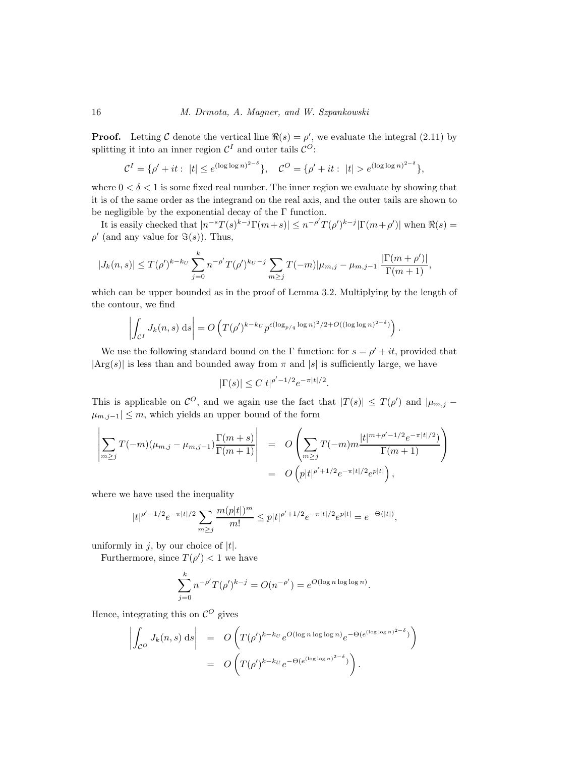**Proof.** Letting C denote the vertical line  $\Re(s) = \rho'$ , we evaluate the integral (2.11) by splitting it into an inner region  $\mathcal{C}^I$  and outer tails  $\mathcal{C}^O$ :

$$
\mathcal{C}^{I} = \{ \rho' + it : |t| \le e^{(\log \log n)^{2-\delta}} \}, \quad \mathcal{C}^{O} = \{ \rho' + it : |t| > e^{(\log \log n)^{2-\delta}} \},
$$

where  $0 < \delta < 1$  is some fixed real number. The inner region we evaluate by showing that it is of the same order as the integrand on the real axis, and the outer tails are shown to be negligible by the exponential decay of the  $\Gamma$  function.

It is easily checked that  $|n^{-s}T(s)^{k-j}\Gamma(m+s)| \leq n^{-\rho'}T(\rho')^{k-j}|\Gamma(m+\rho')|$  when  $\Re(s)$  =  $\rho'$  (and any value for  $\Im(s)$ ). Thus,

$$
|J_k(n,s)| \le T(\rho')^{k-k_U} \sum_{j=0}^k n^{-\rho'} T(\rho')^{k_U-j} \sum_{m \ge j} T(-m) |\mu_{m,j} - \mu_{m,j-1}| \frac{|\Gamma(m+\rho')|}{\Gamma(m+1)},
$$

which can be upper bounded as in the proof of Lemma 3.2. Multiplying by the length of the contour, we find

$$
\left|\int_{\mathcal{C}^I} J_k(n,s) \, ds\right| = O\left(T(\rho')^{k-k_U} p^{\epsilon (\log_{p/q} \log n)^2/2 + O((\log \log n)^{2-\delta})}\right).
$$

We use the following standard bound on the  $\Gamma$  function: for  $s = \rho' + it$ , provided that  $|\text{Arg}(s)|$  is less than and bounded away from  $\pi$  and  $|s|$  is sufficiently large, we have

$$
|\Gamma(s)| \le C|t|^{\rho'-1/2}e^{-\pi|t|/2}.
$$

This is applicable on  $\mathcal{C}^O$ , and we again use the fact that  $|T(s)| \leq T(\rho')$  and  $|\mu_{m,j}$  $|\mu_{m,j-1}| \leq m$ , which yields an upper bound of the form

$$
\left| \sum_{m \geq j} T(-m)(\mu_{m,j} - \mu_{m,j-1}) \frac{\Gamma(m+s)}{\Gamma(m+1)} \right| = O\left( \sum_{m \geq j} T(-m)m \frac{|t|^{m+\rho'-1/2} e^{-\pi |t|/2}}{\Gamma(m+1)} \right)
$$
  
=  $O\left( p|t|^{\rho'+1/2} e^{-\pi |t|/2} e^{p|t|} \right),$ 

where we have used the inequality

$$
|t|^{\rho'-1/2}e^{-\pi|t|/2}\sum_{m\geq j}\frac{m(p|t|)^m}{m!}\leq p|t|^{\rho'+1/2}e^{-\pi|t|/2}e^{p|t|}=e^{-\Theta(|t|)},
$$

uniformly in j, by our choice of  $|t|$ .

Furthermore, since  $T(\rho') < 1$  we have

$$
\sum_{j=0}^{k} n^{-\rho'} T(\rho')^{k-j} = O(n^{-\rho'}) = e^{O(\log n \log \log n)}.
$$

Hence, integrating this on  $\mathcal{C}^O$  gives

$$
\left| \int_{\mathcal{C}^O} J_k(n,s) \, ds \right| = O\left( T(\rho')^{k-k_U} e^{O(\log n \log \log n)} e^{-\Theta(e^{(\log \log n)^{2-\delta}})} \right)
$$
\n
$$
= O\left( T(\rho')^{k-k_U} e^{-\Theta(e^{(\log \log n)^{2-\delta}})} \right).
$$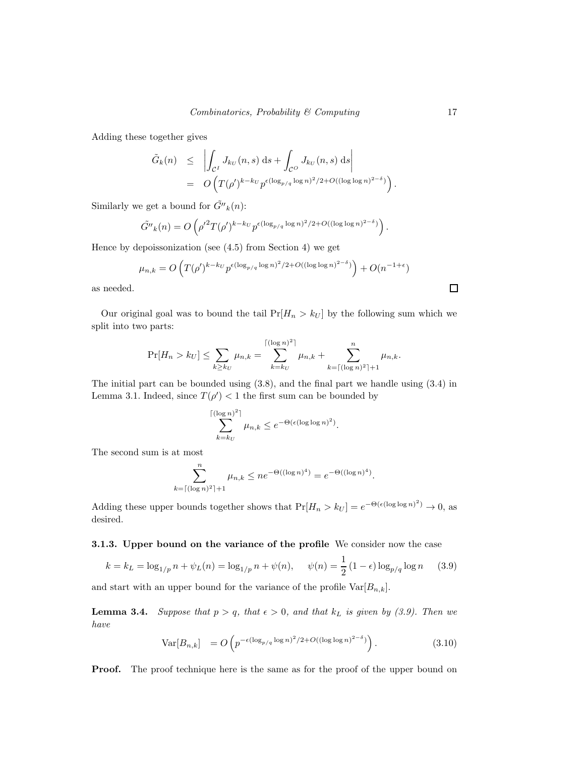Adding these together gives

$$
\tilde{G}_k(n) \leq \left| \int_{\mathcal{C}^I} J_{k_U}(n,s) \, ds + \int_{\mathcal{C}^O} J_{k_U}(n,s) \, ds \right|
$$
  
= 
$$
O\left(T(\rho')^{k-k_U} p^{\epsilon (\log_{p/q} \log n)^2/2 + O((\log \log n)^{2-\delta})}\right).
$$

Similarly we get a bound for  $\tilde{G}''_k(n)$ :

$$
\tilde{G''}_k(n) = O\left(\rho'^2 T(\rho')^{k-k_U} p^{\epsilon (\log_{p/q} \log n)^2/2 + O((\log \log n)^{2-\delta})}\right).
$$

Hence by depoissonization (see (4.5) from Section 4) we get

$$
\mu_{n,k} = O\left(T(\rho')^{k-k_U} p^{\epsilon(\log_{p/q} \log n)^2/2 + O((\log \log n)^{2-\delta})}\right) + O(n^{-1+\epsilon})
$$

as needed.

Our original goal was to bound the tail  $Pr[H_n > k_U]$  by the following sum which we split into two parts:

$$
\Pr[H_n > k_U] \leq \sum_{k \geq k_U} \mu_{n,k} = \sum_{k=k_U}^{\lceil (\log n)^2 \rceil} \mu_{n,k} + \sum_{k=\lceil (\log n)^2 \rceil+1}^n \mu_{n,k}.
$$

The initial part can be bounded using (3.8), and the final part we handle using (3.4) in Lemma 3.1. Indeed, since  $T(\rho') < 1$  the first sum can be bounded by

$$
\sum_{k=k_U}^{\lceil (\log n)^2 \rceil} \mu_{n,k} \le e^{-\Theta(\epsilon (\log \log n)^2)}.
$$

The second sum is at most

$$
\sum_{k=\lceil (\log n)^2 \rceil+1}^n \mu_{n,k} \le n e^{-\Theta((\log n)^4)} = e^{-\Theta((\log n)^4)}.
$$

Adding these upper bounds together shows that  $Pr[H_n > k_U] = e^{-\Theta(\epsilon(\log \log n)^2)} \to 0$ , as desired.

3.1.3. Upper bound on the variance of the profile We consider now the case

$$
k = k_L = \log_{1/p} n + \psi_L(n) = \log_{1/p} n + \psi(n), \quad \psi(n) = \frac{1}{2} (1 - \epsilon) \log_{p/q} \log n \quad (3.9)
$$

and start with an upper bound for the variance of the profile  $\text{Var}[B_{n,k}]$ .

**Lemma 3.4.** Suppose that  $p > q$ , that  $\epsilon > 0$ , and that  $k<sub>L</sub>$  is given by (3.9). Then we *have*

$$
\text{Var}[B_{n,k}] = O\left(p^{-\epsilon(\log_{p/q} \log n)^2/2 + O((\log \log n)^{2-\delta})}\right). \tag{3.10}
$$

**Proof.** The proof technique here is the same as for the proof of the upper bound on

 $\Box$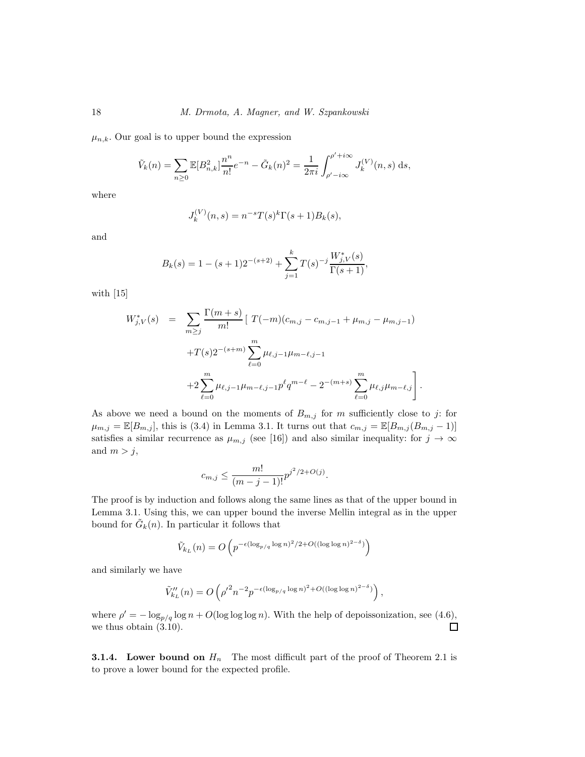$\mu_{n,k}$ . Our goal is to upper bound the expression

$$
\tilde{V}_k(n) = \sum_{n\geq 0} \mathbb{E}[B_{n,k}^2] \frac{n^n}{n!} e^{-n} - \tilde{G}_k(n)^2 = \frac{1}{2\pi i} \int_{\rho'-i\infty}^{\rho'+i\infty} J_k^{(V)}(n,s) \,ds,
$$

where

$$
J_k^{(V)}(n,s) = n^{-s} T(s)^k \Gamma(s+1) B_k(s),
$$

and

$$
B_k(s) = 1 - (s+1)2^{-(s+2)} + \sum_{j=1}^k T(s)^{-j} \frac{W_{j,V}^*(s)}{\Gamma(s+1)},
$$

with [15]

$$
W_{j,V}^*(s) = \sum_{m \ge j} \frac{\Gamma(m+s)}{m!} \left[ T(-m)(c_{m,j} - c_{m,j-1} + \mu_{m,j} - \mu_{m,j-1}) \right. \left. + T(s)2^{-(s+m)} \sum_{\ell=0}^m \mu_{\ell,j-1} \mu_{m-\ell,j-1} \left. + 2 \sum_{\ell=0}^m \mu_{\ell,j-1} \mu_{m-\ell,j-1} p^\ell q^{m-\ell} - 2^{-(m+s)} \sum_{\ell=0}^m \mu_{\ell,j} \mu_{m-\ell,j} \right].
$$

As above we need a bound on the moments of  $B_{m,j}$  for m sufficiently close to j: for  $\mu_{m,j} = \mathbb{E}[B_{m,j}],$  this is (3.4) in Lemma 3.1. It turns out that  $c_{m,j} = \mathbb{E}[B_{m,j}(B_{m,j}-1)]$ satisfies a similar recurrence as  $\mu_{m,j}$  (see [16]) and also similar inequality: for  $j \to \infty$ and  $m > j$ ,

$$
c_{m,j} \le \frac{m!}{(m-j-1)!} p^{j^2/2 + O(j)}.
$$

The proof is by induction and follows along the same lines as that of the upper bound in Lemma 3.1. Using this, we can upper bound the inverse Mellin integral as in the upper bound for  $\tilde{G}_k(n)$ . In particular it follows that

$$
\tilde{V}_{kL}(n) = O\left(p^{-\epsilon(\log_{p/q}\log n)^2/2 + O((\log\log n)^{2-\delta})}\right)
$$

and similarly we have

$$
\tilde{V}_{k_L}''(n) = O\left(\rho'^2 n^{-2} p^{-\epsilon (\log_{p/q} \log n)^2 + O((\log \log n)^{2-\delta})}\right),
$$

where  $\rho' = -\log_{p/q} \log n + O(\log \log \log n)$ . With the help of depoissonization, see (4.6), we thus obtain (3.10).

**3.1.4.** Lower bound on  $H_n$  The most difficult part of the proof of Theorem 2.1 is to prove a lower bound for the expected profile.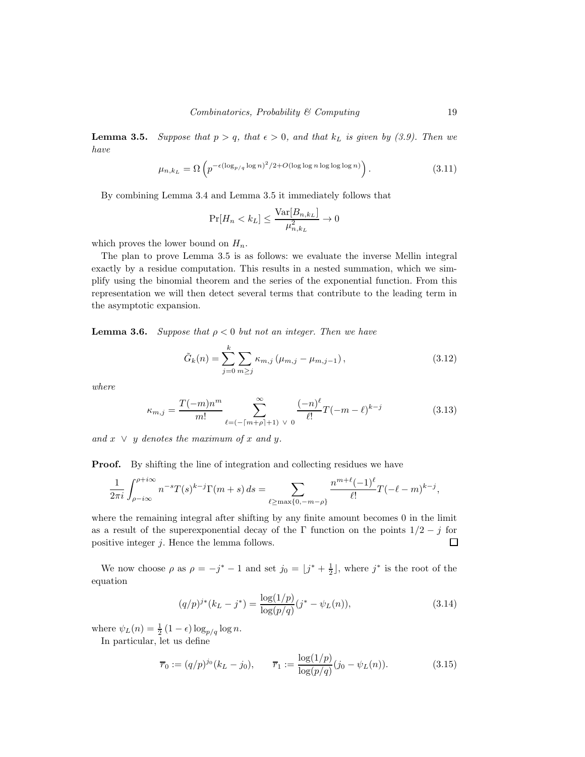**Lemma 3.5.** *Suppose that*  $p > q$ *, that*  $\epsilon > 0$ *, and that*  $k<sub>L</sub>$  *is given by (3.9). Then we have*

$$
\mu_{n,k_L} = \Omega \left( p^{-\epsilon (\log_{p/q} \log n)^2 / 2 + O(\log \log n \log \log \log n)} \right). \tag{3.11}
$$

By combining Lemma 3.4 and Lemma 3.5 it immediately follows that

$$
\Pr[H_n < k_L] \le \frac{\text{Var}[B_{n,k_L}]}{\mu_{n,k_L}^2} \to 0
$$

which proves the lower bound on  $H_n$ .

The plan to prove Lemma 3.5 is as follows: we evaluate the inverse Mellin integral exactly by a residue computation. This results in a nested summation, which we simplify using the binomial theorem and the series of the exponential function. From this representation we will then detect several terms that contribute to the leading term in the asymptotic expansion.

**Lemma 3.6.** *Suppose that*  $\rho < 0$  *but not an integer. Then we have* 

$$
\tilde{G}_k(n) = \sum_{j=0}^k \sum_{m \ge j} \kappa_{m,j} \left( \mu_{m,j} - \mu_{m,j-1} \right),
$$
\n(3.12)

*where*

$$
\kappa_{m,j} = \frac{T(-m)n^m}{m!} \sum_{\ell=(-\lceil m+\rho \rceil+1) \ \vee \ 0}^{\infty} \frac{(-n)^{\ell}}{\ell!} T(-m-\ell)^{k-j} \tag{3.13}
$$

 $and x \vee y$  *denotes the maximum of* x and y.

**Proof.** By shifting the line of integration and collecting residues we have

$$
\frac{1}{2\pi i} \int_{\rho - i\infty}^{\rho + i\infty} n^{-s} T(s)^{k-j} \Gamma(m+s) \, ds = \sum_{\ell \ge \max\{0, -m-\rho\}} \frac{n^{m+\ell} (-1)^{\ell}}{\ell!} T(-\ell - m)^{k-j},
$$

where the remaining integral after shifting by any finite amount becomes 0 in the limit as a result of the superexponential decay of the Γ function on the points  $1/2 - j$  for positive integer *j*. Hence the lemma follows. positive integer j. Hence the lemma follows.

We now choose  $\rho$  as  $\rho = -j^* - 1$  and set  $j_0 = \lfloor j^* + \frac{1}{2} \rfloor$ , where  $j^*$  is the root of the equation

$$
(q/p)^{j*}(k_L - j^*) = \frac{\log(1/p)}{\log(p/q)}(j^* - \psi_L(n)),
$$
\n(3.14)

where  $\psi_L(n) = \frac{1}{2} (1 - \epsilon) \log_{p/q} \log n$ .

In particular, let us define

$$
\overline{r}_0 := (q/p)^{j_0} (k_L - j_0), \qquad \overline{r}_1 := \frac{\log(1/p)}{\log(p/q)} (j_0 - \psi_L(n)). \tag{3.15}
$$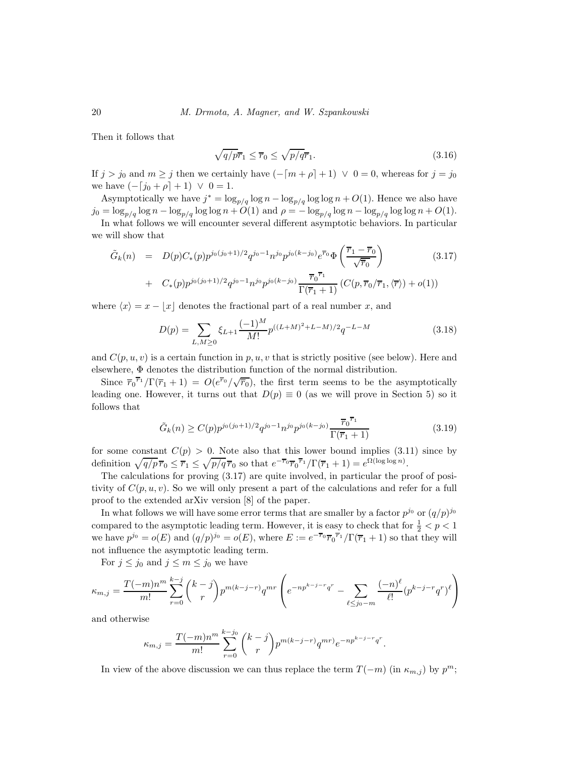Then it follows that

$$
\sqrt{q/p}\overline{r}_1 \le \overline{r}_0 \le \sqrt{p/q}\overline{r}_1. \tag{3.16}
$$

If  $j > j_0$  and  $m \ge j$  then we certainly have  $(-\lceil m + \rho \rceil + 1) \vee 0 = 0$ , whereas for  $j = j_0$ we have  $(-[j_0 + \rho] + 1) \vee 0 = 1$ .

Asymptotically we have  $j^* = \log_{p/q} \log n - \log_{p/q} \log \log n + O(1)$ . Hence we also have  $j_0 = \log_{p/q} \log n - \log_{p/q} \log \log n + O(1)$  and  $\rho = -\log_{p/q} \log n - \log_{p/q} \log \log n + O(1)$ .

In what follows we will encounter several different asymptotic behaviors. In particular we will show that

$$
\tilde{G}_k(n) = D(p)C_*(p)p^{j_0(j_0+1)/2}q^{j_0-1}n^{j_0}p^{j_0(k-j_0)}e^{\overline{r}_0}\Phi\left(\frac{\overline{r}_1 - \overline{r}_0}{\sqrt{\overline{r}_0}}\right) \n+ C_*(p)p^{j_0(j_0+1)/2}q^{j_0-1}n^{j_0}p^{j_0(k-j_0)}\frac{\overline{r}_0^{\overline{r}_1}}{\Gamma(\overline{r}_1+1)}\left(C(p,\overline{r}_0/\overline{r}_1,\langle \overline{r}\rangle) + o(1)\right)
$$
\n(3.17)

where  $\langle x \rangle = x - |x|$  denotes the fractional part of a real number x, and

$$
D(p) = \sum_{L,M \ge 0} \xi_{L+1} \frac{(-1)^M}{M!} p^{((L+M)^2 + L - M)/2} q^{-L-M}
$$
\n(3.18)

and  $C(p, u, v)$  is a certain function in p, u, v that is strictly positive (see below). Here and elsewhere, Φ denotes the distribution function of the normal distribution.

Since  $\overline{r}_0^{\overline{r}_1}/\Gamma(\overline{r}_1+1) = O(e^{\overline{r}_0}/\sqrt{\overline{r}_0})$ , the first term seems to be the asymptotically leading one. However, it turns out that  $D(p) \equiv 0$  (as we will prove in Section 5) so it follows that

$$
\tilde{G}_k(n) \ge C(p) p^{j_0(j_0+1)/2} q^{j_0-1} n^{j_0} p^{j_0(k-j_0)} \frac{\overline{r}_0^{\overline{r}_1}}{\Gamma(\overline{r}_1+1)}
$$
\n(3.19)

for some constant  $C(p) > 0$ . Note also that this lower bound implies (3.11) since by definition  $\sqrt{q/p} \overline{r}_0 \leq \overline{r}_1 \leq \sqrt{p/q} \overline{r}_0$  so that  $e^{-\overline{r}_0} \overline{r}_0^{\overline{r}_1}/\Gamma(\overline{r}_1 + 1) = e^{\Omega(\log \log n)}$ .

The calculations for proving (3.17) are quite involved, in particular the proof of positivity of  $C(p, u, v)$ . So we will only present a part of the calculations and refer for a full proof to the extended arXiv version [8] of the paper.

In what follows we will have some error terms that are smaller by a factor  $p^{j_0}$  or  $(q/p)^{j_0}$ compared to the asymptotic leading term. However, it is easy to check that for  $\frac{1}{2} < p < 1$ we have  $p^{j_0} = o(E)$  and  $(q/p)^{j_0} = o(E)$ , where  $E := e^{-\overline{r}_0} \overline{r}_0^{\overline{r}_1} / \Gamma(\overline{r}_1 + 1)$  so that they will not influence the asymptotic leading term.

For  $j \leq j_0$  and  $j \leq m \leq j_0$  we have

$$
\kappa_{m,j} = \frac{T(-m)n^m}{m!} \sum_{r=0}^{k-j} {k-j \choose r} p^{m(k-j-r)} q^{mr} \left( e^{-np^{k-j-r}q^r} - \sum_{\ell \le j_0 - m} \frac{(-n)^{\ell}}{\ell!} (p^{k-j-r}q^r)^{\ell} \right)
$$

and otherwise

$$
\kappa_{m,j} = \frac{T(-m)n^m}{m!} \sum_{r=0}^{k-j_0} {k-j \choose r} p^{m(k-j-r)} q^{mr} e^{-np^{k-j-r}q^r}.
$$

In view of the above discussion we can thus replace the term  $T(-m)$  (in  $\kappa_{m,j}$ ) by  $p^m$ ;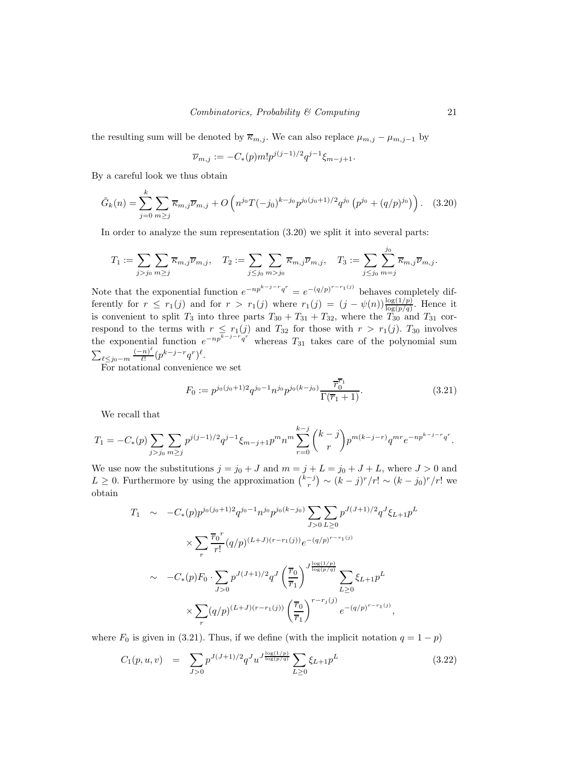the resulting sum will be denoted by  $\overline{\kappa}_{m,j}$ . We can also replace  $\mu_{m,j} - \mu_{m,j-1}$  by

$$
\overline{\nu}_{m,j} := -C_*(p)m!p^{j(j-1)/2}q^{j-1}\xi_{m-j+1}.
$$

By a careful look we thus obtain

$$
\tilde{G}_k(n) = \sum_{j=0}^k \sum_{m \ge j} \overline{\kappa}_{m,j} \overline{\nu}_{m,j} + O\left(n^{j_0} T(-j_0)^{k-j_0} p^{j_0(j_0+1)/2} q^{j_0} \left(p^{j_0} + (q/p)^{j_0}\right)\right). \tag{3.20}
$$

In order to analyze the sum representation (3.20) we split it into several parts:

$$
T_1 := \sum_{j > j_0} \sum_{m \geq j} \overline{\kappa}_{m,j} \overline{\nu}_{m,j}, \quad T_2 := \sum_{j \leq j_0} \sum_{m > j_0} \overline{\kappa}_{m,j} \overline{\nu}_{m,j}, \quad T_3 := \sum_{j \leq j_0} \sum_{m=j}^{j_0} \overline{\kappa}_{m,j} \overline{\nu}_{m,j}.
$$

Note that the exponential function  $e^{-np^{k-j-r}q^r} = e^{-(q/p)^{r-r_1(j)}}$  behaves completely differently for  $r \leq r_1(j)$  and for  $r > r_1(j)$  where  $r_1(j) = (j - \psi(n)) \frac{\log(1/p)}{\log(p/q)}$ . Hence it is convenient to split  $T_3$  into three parts  $T_{30} + T_{31} + T_{32}$ , where the  $T_{30}$  and  $T_{31}$  correspond to the terms with  $r \leq r_1(j)$  and  $T_{32}$  for those with  $r > r_1(j)$ .  $T_{30}$  involves the exponential function  $e^{-np^{\overline{k}-j-r}q^r}$  whereas  $T_{31}$  takes care of the polynomial sum  $\sum_{\ell \leq j_0-m} \frac{(-n)^{\ell}}{\ell!}$  $\frac{(n)^k}{\ell!} (p^{k-j-r} q^r)^{\ell}.$ 

For notational convenience we set

$$
F_0 := p^{j_0(j_0+1)2} q^{j_0-1} n^{j_0} p^{j_0(k-j_0)} \frac{\overline{r}_0^{\overline{r}_1}}{\Gamma(\overline{r}_1+1)}.
$$
\n(3.21)

We recall that

$$
T_1 = -C_*(p) \sum_{j>j_0} \sum_{m\geq j} p^{j(j-1)/2} q^{j-1} \xi_{m-j+1} p^m n^m \sum_{r=0}^{k-j} {k-j \choose r} p^{m(k-j-r)} q^{mr} e^{-np^{k-j-r}q^r}.
$$

We use now the substitutions  $j = j_0 + J$  and  $m = j + L = j_0 + J + L$ , where  $J > 0$  and  $L \geq 0$ . Furthermore by using the approximation  $\binom{k-j}{r} \sim (k-j)^r/r! \sim (k-j_0)^r/r!$  we obtain

$$
T_1 \sim -C_*(p)p^{j_0(j_0+1)2}q^{j_0-1}n^{j_0}p^{j_0(k-j_0)}\sum_{J>0}\sum_{L\geq 0}p^{J(J+1)/2}q^J\xi_{L+1}p^L
$$
  

$$
\times \sum_{r} \frac{\overline{r}_0^r}{r!}(q/p)^{(L+J)(r-r_1(j))}e^{-(q/p)^{r-r_1(j)}}
$$
  

$$
\sim -C_*(p)F_0 \cdot \sum_{J>0}p^{J(J+1)/2}q^J\left(\frac{\overline{r}_0}{\overline{r}_1}\right)^{J\frac{\log(1/p)}{\log(p/q)}}\sum_{L\geq 0}\xi_{L+1}p^L
$$
  

$$
\times \sum_{r}(q/p)^{(L+J)(r-r_1(j))}\left(\frac{\overline{r}_0}{\overline{r}_1}\right)^{r-r_j(j)}e^{-(q/p)^{r-r_1(j)}},
$$

where  $F_0$  is given in (3.21). Thus, if we define (with the implicit notation  $q = 1 - p$ )

$$
C_1(p, u, v) = \sum_{J>0} p^{J(J+1)/2} q^J u^{J \frac{\log(1/p)}{\log(p/q)}} \sum_{L\geq 0} \xi_{L+1} p^L
$$
 (3.22)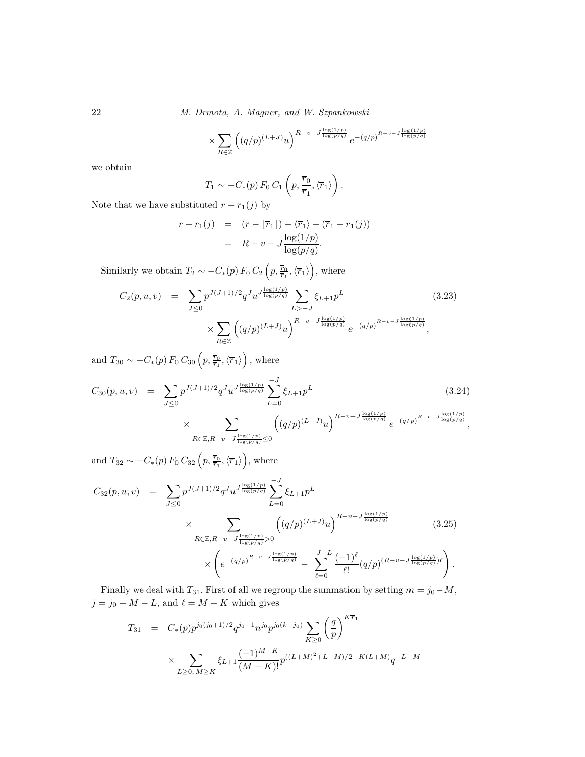22 *M. Drmota, A. Magner, and W. Szpankowski*

$$
\times \sum_{R \in \mathbb{Z}} \left( (q/p)^{(L+J)} u \right)^{R-v-J\frac{\log(1/p)}{\log(p/q)}} e^{-(q/p)^{R-v-J\frac{\log(1/p)}{\log(p/q)}}}
$$

we obtain

$$
T_1 \sim -C_*(p) F_0 C_1 \left( p, \frac{\overline{r}_0}{\overline{r}_1}, \langle \overline{r}_1 \rangle \right).
$$

Note that we have substituted  $r - r_1(j)$  by

$$
r - r_1(j) = (r - \lfloor \overline{r}_1 \rfloor) - \langle \overline{r}_1 \rangle + (\overline{r}_1 - r_1(j))
$$

$$
= R - v - J \frac{\log(1/p)}{\log(p/q)}.
$$

Similarly we obtain  $T_2 \sim -C_*(p) F_0 C_2 \left( p, \frac{\overline{r}_0}{\overline{r}_1}, \langle \overline{r}_1 \rangle \right)$ , where

$$
C_2(p, u, v) = \sum_{J \le 0} p^{J(J+1)/2} q^J u^{J \frac{\log(1/p)}{\log(p/q)}} \sum_{L > -J} \xi_{L+1} p^L \tag{3.23}
$$
\n
$$
\times \sum_{R \in \mathbb{Z}} \left( (q/p)^{(L+J)} u \right)^{R-v-J \frac{\log(1/p)}{\log(p/q)}} e^{-(q/p)^{R-v-J \frac{\log(1/p)}{\log(p/q)}}},
$$

and  $T_{30} \sim -C_*(p) F_0 C_{30} \left( p, \frac{\overline{r}_0}{\overline{r}_1}, \langle \overline{r}_1 \rangle \right)$ , where

$$
C_{30}(p, u, v) = \sum_{J \le 0} p^{J(J+1)/2} q^J u^{J \frac{\log(1/p)}{\log(p/q)}} \sum_{L=0}^{-J} \xi_{L+1} p^L
$$
(3.24)  

$$
\times \sum_{R \in \mathbb{Z}, R-v-J \frac{\log(1/p)}{\log(p/q)} \le 0} \left( (q/p)^{(L+J)} u \right)^{R-v-J \frac{\log(1/p)}{\log(p/q)}} e^{-(q/p)^{R-v-J \frac{\log(1/p)}{\log(p/q)}},
$$

and  $T_{32} \sim -C_*(p) F_0 C_{32} \left( p, \frac{\overline{r}_0}{\overline{r}_1}, \langle \overline{r}_1 \rangle \right)$ , where

$$
C_{32}(p, u, v) = \sum_{J \leq 0} p^{J(J+1)/2} q^{J} u^{J \frac{\log(1/p)}{\log(p/q)}} \sum_{L=0}^{-J} \xi_{L+1} p^{L}
$$
  
 
$$
\times \sum_{R \in \mathbb{Z}, R-v-J \frac{\log(1/p)}{\log(p/q)} > 0} \left( (q/p)^{(L+J)} u \right)^{R-v-J \frac{\log(1/p)}{\log(p/q)}} \times \left( e^{-(q/p)^{R-v-J \frac{\log(1/p)}{\log(p/q)}} - \sum_{\ell=0}^{-J-L} \frac{(-1)^{\ell}}{\ell!} (q/p)^{(R-v-J \frac{\log(1/p)}{\log(p/q)}) \ell} \right).
$$
(3.25)

Finally we deal with  $T_{31}$ . First of all we regroup the summation by setting  $m = j_0 - M$ ,  $j = j_0 - M - L$ , and  $\ell = M - K$  which gives

$$
T_{31} = C_*(p)p^{j_0(j_0+1)/2}q^{j_0-1}n^{j_0}p^{j_0(k-j_0)}\sum_{K\geq 0} \left(\frac{q}{p}\right)^{K\overline{r}_1}
$$
  
 
$$
\times \sum_{L\geq 0, M\geq K} \xi_{L+1} \frac{(-1)^{M-K}}{(M-K)!} p^{((L+M)^2+L-M)/2-K(L+M)}q^{-L-M}
$$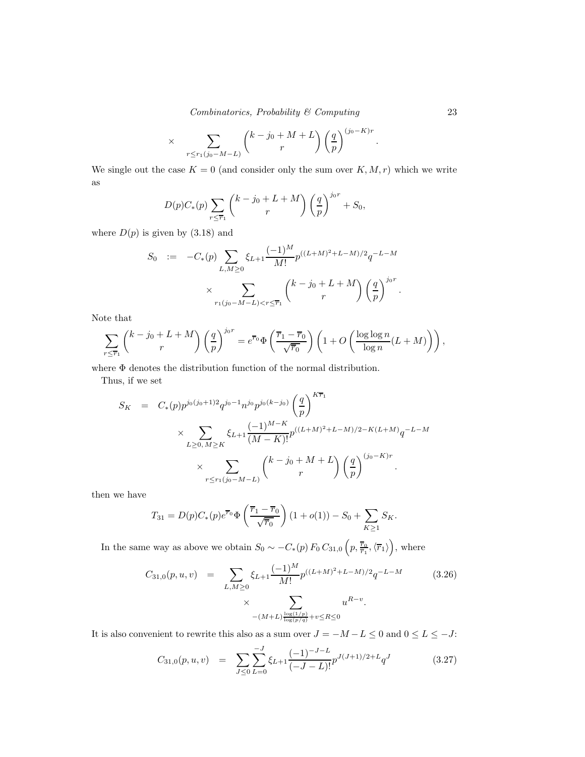*Combinatorics, Probability & Computing* 23

$$
\times \sum_{r \le r_1(j_0 - M - L)} \binom{k - j_0 + M + L}{r} \left(\frac{q}{p}\right)^{(j_0 - K)r}.
$$

We single out the case  $K = 0$  (and consider only the sum over  $K, M, r$ ) which we write as

$$
D(p)C_*(p)\sum_{r\leq \overline{r}_1}\binom{k-j_0+L+M}{r}\left(\frac{q}{p}\right)^{j_0r}+S_0,
$$

where  $D(p)$  is given by  $(3.18)$  and

$$
S_0 := -C_*(p) \sum_{L,M \ge 0} \xi_{L+1} \frac{(-1)^M}{M!} p^{((L+M)^2 + L-M)/2} q^{-L-M}
$$
  
 
$$
\times \sum_{r_1(j_0 - M - L) < r \le \overline{r}_1} \binom{k - j_0 + L + M}{r} \left(\frac{q}{p}\right)^{j_0 r}.
$$

Note that

$$
\sum_{r \leq \overline{r}_1} {k-j_0+L+M \choose r} \left(\frac{q}{p}\right)^{j_0r} = e^{\overline{r}_0} \Phi\left(\frac{\overline{r}_1 - \overline{r}_0}{\sqrt{\overline{r}_0}}\right) \left(1 + O\left(\frac{\log \log n}{\log n}(L+M)\right)\right),
$$

where Φ denotes the distribution function of the normal distribution.

Thus, if we set

$$
S_K = C_*(p)p^{j_0(j_0+1)2}q^{j_0-1}n^{j_0}p^{j_0(k-j_0)}\left(\frac{q}{p}\right)^{K\bar{r}_1}
$$
  

$$
\times \sum_{L\geq 0, M\geq K} \xi_{L+1}\frac{(-1)^{M-K}}{(M-K)!}p^{((L+M)^2+L-M)/2-K(L+M)}q^{-L-M}
$$
  

$$
\times \sum_{r\leq r_1(j_0-M-L)} \binom{k-j_0+M+L}{r} \left(\frac{q}{p}\right)^{(j_0-K)r}.
$$

then we have

$$
T_{31} = D(p)C_*(p)e^{\overline{r}_0}\Phi\left(\frac{\overline{r}_1 - \overline{r}_0}{\sqrt{\overline{r}_0}}\right)(1 + o(1)) - S_0 + \sum_{K \ge 1} S_K.
$$

In the same way as above we obtain  $S_0 \sim -C_*(p) F_0 C_{31,0} \left( p, \frac{\overline{r}_0}{\overline{r}_1}, \langle \overline{r}_1 \rangle \right)$ , where

$$
C_{31,0}(p,u,v) = \sum_{L,M\geq 0} \xi_{L+1} \frac{(-1)^M}{M!} p^{((L+M)^2 + L - M)/2} q^{-L-M}
$$
\n
$$
\times \sum_{-(M+L)\frac{\log(1/p)}{\log(p/q)} + v \leq R \leq 0} u^{R-v}.
$$
\n(3.26)

It is also convenient to rewrite this also as a sum over  $J = -M-L \leq 0$  and  $0 \leq L \leq -J \colon$ 

$$
C_{31,0}(p,u,v) = \sum_{J \le 0} \sum_{L=0}^{-J} \xi_{L+1} \frac{(-1)^{-J-L}}{(-J-L)!} p^{J(J+1)/2+L} q^J
$$
(3.27)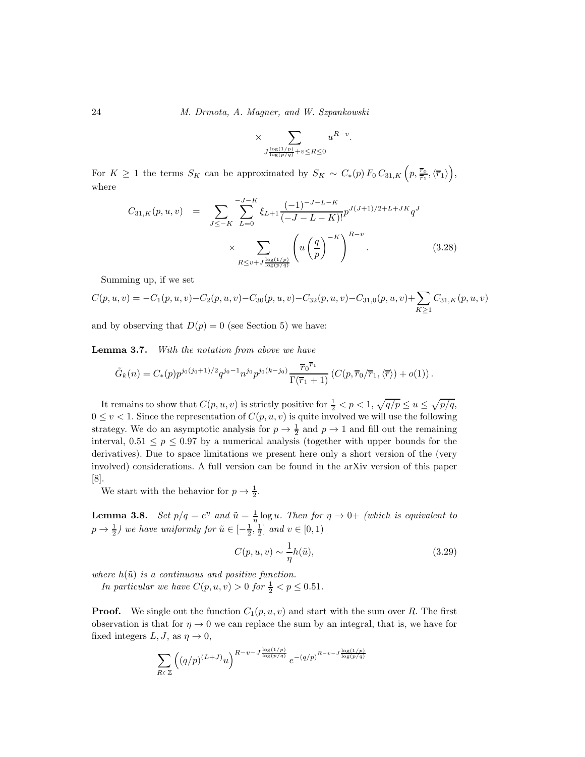24 *M. Drmota, A. Magner, and W. Szpankowski*

$$
\times \sum_{J \frac{\log(1/p)}{\log(p/q)} + v \leq R \leq 0} u^{R-v}.
$$

For  $K \geq 1$  the terms  $S_K$  can be approximated by  $S_K \sim C_*(p) F_0 C_{31,K} \left( p, \frac{\overline{r}_0}{\overline{r}_1}, \langle \overline{r}_1 \rangle \right)$ , where

$$
C_{31,K}(p,u,v) = \sum_{J \le -K} \sum_{L=0}^{-J-K} \xi_{L+1} \frac{(-1)^{-J-L-K}}{(-J-L-K)!} p^{J(J+1)/2+L+JK} q^J
$$

$$
\times \sum_{R \le v+J \frac{\log(1/p)}{\log(p/q)}} \left( u \left( \frac{q}{p} \right)^{-K} \right)^{R-v} . \tag{3.28}
$$

Summing up, if we set

$$
C(p, u, v) = -C_1(p, u, v) - C_2(p, u, v) - C_{30}(p, u, v) - C_{32}(p, u, v) - C_{31,0}(p, u, v) + \sum_{K \ge 1} C_{31,K}(p, u, v)
$$

and by observing that  $D(p) = 0$  (see Section 5) we have:

Lemma 3.7. *With the notation from above we have*

$$
\tilde{G}_k(n) = C_*(p) p^{j_0(j_0+1)/2} q^{j_0-1} n^{j_0} p^{j_0(k-j_0)} \frac{\overline{r}_0^{\overline{r}_1}}{\Gamma(\overline{r}_1+1)} \left( C(p, \overline{r}_0/\overline{r}_1, \langle \overline{r} \rangle) + o(1) \right).
$$

It remains to show that  $C(p, u, v)$  is strictly positive for  $\frac{1}{2} < p < 1$ ,  $\sqrt{q/p} \le u \le \sqrt{p/q}$ ,  $0 \le v < 1$ . Since the representation of  $C(p, u, v)$  is quite involved we will use the following strategy. We do an asymptotic analysis for  $p \to \frac{1}{2}$  and  $p \to 1$  and fill out the remaining interval,  $0.51 \leq p \leq 0.97$  by a numerical analysis (together with upper bounds for the derivatives). Due to space limitations we present here only a short version of the (very involved) considerations. A full version can be found in the arXiv version of this paper [8].

We start with the behavior for  $p \to \frac{1}{2}$ .

**Lemma 3.8.** *Set*  $p/q = e^{\eta}$  *and*  $\tilde{u} = \frac{1}{\eta} \log u$ *. Then for*  $\eta \to 0+$  *(which is equivalent to*  $p \rightarrow \frac{1}{2}$  *we have uniformly for*  $\tilde{u} \in \left[-\frac{1}{2}, \frac{1}{2}\right]$  *and*  $v \in [0, 1)$ 

$$
C(p, u, v) \sim \frac{1}{\eta} h(\tilde{u}),\tag{3.29}
$$

where  $h(\tilde{u})$  *is a continuous and positive function.* 

*In particular we have*  $C(p, u, v) > 0$  *for*  $\frac{1}{2} < p \le 0.51$ *.* 

**Proof.** We single out the function  $C_1(p, u, v)$  and start with the sum over R. The first observation is that for  $\eta \to 0$  we can replace the sum by an integral, that is, we have for fixed integers  $L, J$ , as  $\eta \to 0$ ,

$$
\sum_{R \in \mathbb{Z}} \left( (q/p)^{(L+J)} u \right)^{R-v-J\frac{\log(1/p)}{\log(p/q)}} e^{-\left( q/p \right)^{R-v-J\frac{\log(1/p)}{\log(p/q)}}}
$$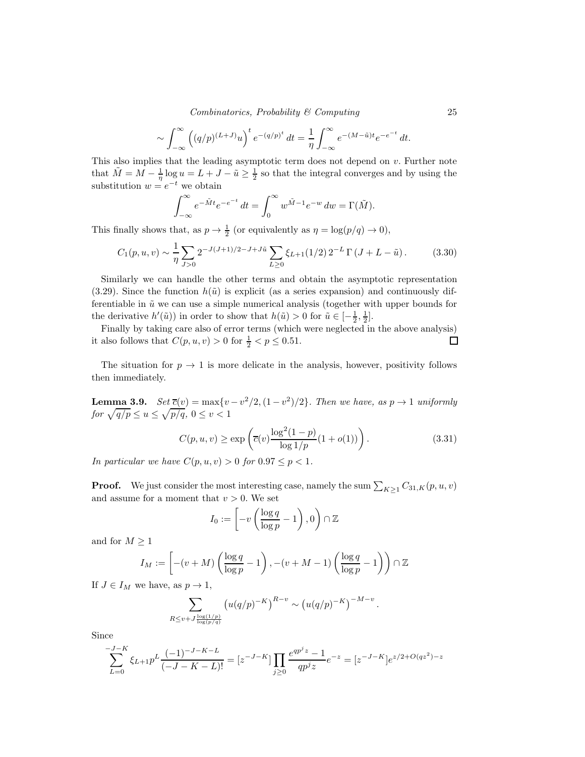*Combinatorics, Probability & Computing* 25

$$
\sim \int_{-\infty}^{\infty} \left( (q/p)^{(L+J)} u \right)^t e^{-(q/p)^t} dt = \frac{1}{\eta} \int_{-\infty}^{\infty} e^{-(M-\tilde{u})t} e^{-e^{-t}} dt.
$$

This also implies that the leading asymptotic term does not depend on  $v$ . Further note that  $\tilde{M} = M - \frac{1}{\eta} \log u = L + J - \tilde{u} \ge \frac{1}{2}$  so that the integral converges and by using the substitution  $w = e^{-t}$  we obtain

$$
\int_{-\infty}^{\infty} e^{-\tilde{M}t} e^{-e^{-t}} dt = \int_{0}^{\infty} w^{\tilde{M}-1} e^{-w} dw = \Gamma(\tilde{M}).
$$

This finally shows that, as  $p \to \frac{1}{2}$  (or equivalently as  $\eta = \log(p/q) \to 0$ ),

$$
C_1(p, u, v) \sim \frac{1}{\eta} \sum_{J>0} 2^{-J(J+1)/2 - J + J\tilde{u}} \sum_{L\geq 0} \xi_{L+1}(1/2) 2^{-L} \Gamma(J + L - \tilde{u}). \tag{3.30}
$$

Similarly we can handle the other terms and obtain the asymptotic representation  $(3.29)$ . Since the function  $h(\tilde{u})$  is explicit (as a series expansion) and continuously differentiable in  $\tilde{u}$  we can use a simple numerical analysis (together with upper bounds for the derivative  $h'(\tilde{u})$  in order to show that  $h(\tilde{u}) > 0$  for  $\tilde{u} \in \left[-\frac{1}{2}, \frac{1}{2}\right]$ .

Finally by taking care also of error terms (which were neglected in the above analysis) it also follows that  $C(p, u, v) > 0$  for  $\frac{1}{2} < p \le 0.51$ .  $\Box$ 

The situation for  $p \to 1$  is more delicate in the analysis, however, positivity follows then immediately.

**Lemma 3.9.**  $Set \overline{c}(v) = \max\{v - v^2/2, (1 - v^2)/2\}$ . Then we have, as  $p \to 1$  uniformly *for*  $\sqrt{q/p} \le u \le \sqrt{p/q}, 0 \le v < 1$ 

$$
C(p, u, v) \ge \exp\left(\overline{c}(v) \frac{\log^2(1-p)}{\log 1/p} (1 + o(1))\right).
$$
 (3.31)

.

*In particular we have*  $C(p, u, v) > 0$  *for*  $0.97 \leq p < 1$ *.* 

**Proof.** We just consider the most interesting case, namely the sum  $\sum_{K\geq 1} C_{31,K}(p, u, v)$ and assume for a moment that  $v > 0$ . We set

$$
I_0 := \left[ -v \left( \frac{\log q}{\log p} - 1 \right), 0 \right) \cap \mathbb{Z}
$$

and for  $M\geq 1$ 

$$
I_M := \left[ -(v+M) \left( \frac{\log q}{\log p} - 1 \right), -(v+M-1) \left( \frac{\log q}{\log p} - 1 \right) \right) \cap \mathbb{Z}
$$

If  $J \in I_M$  we have, as  $p \to 1$ ,

$$
\sum_{R \le v+J \frac{\log(1/p)}{\log(p/q)}} \left( u(q/p)^{-K} \right)^{R-v} \sim \left( u(q/p)^{-K} \right)^{-M-v}
$$

Since

$$
\sum_{L=0}^{-J-K} \xi_{L+1} p^L \frac{(-1)^{-J-K-L}}{(-J-K-L)!} = [z^{-J-K}] \prod_{j\geq 0} \frac{e^{qp^j z} - 1}{qp^j z} e^{-z} = [z^{-J-K}] e^{z/2 + O(qz^2) - z}
$$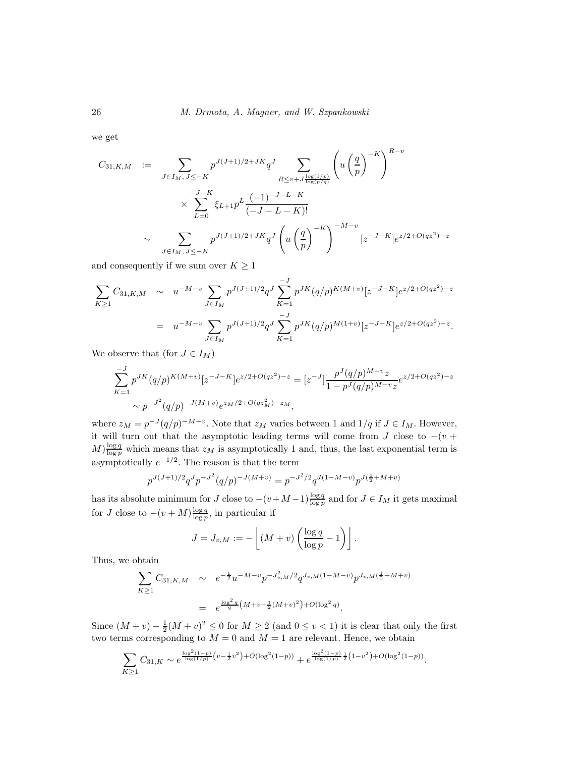we get

$$
C_{31,K,M} := \sum_{J \in I_M, J \le -K} p^{J(J+1)/2+JK} q^J \sum_{R \le v+J \frac{\log(1/p)}{\log(p/q)}} \left( u \left( \frac{q}{p} \right)^{-K} \right)^{R-v}
$$

$$
\times \sum_{L=0}^{-J-K} \xi_{L+1} p^L \frac{(-1)^{-J-L-K}}{(-J-L-K)!}
$$

$$
\sim \sum_{J \in I_M, J \le -K} p^{J(J+1)/2+JK} q^J \left( u \left( \frac{q}{p} \right)^{-K} \right)^{-M-v} [z^{-J-K}] e^{z/2+O(qz^2)-z}
$$

and consequently if we sum over  $K\geq 1$ 

$$
\sum_{K\geq 1} C_{31,K,M} \sim u^{-M-v} \sum_{J\in I_M} p^{J(J+1)/2} q^J \sum_{K=1}^{-J} p^{JK} (q/p)^{K(M+v)} [z^{-J-K}] e^{z/2+O(qz^2)-z}
$$
  
= 
$$
u^{-M-v} \sum_{J\in I_M} p^{J(J+1)/2} q^J \sum_{K=1}^{-J} p^{JK} (q/p)^{M(1+v)} [z^{-J-K}] e^{z/2+O(qz^2)-z}.
$$

We observe that (for  $J \in I_M$ )

$$
\sum_{K=1}^{-J} p^{JK} (q/p)^{K(M+v)} [z^{-J-K}] e^{z/2 + O(qz^2) - z} = [z^{-J}] \frac{p^J (q/p)^{M+v} z}{1 - p^J (q/p)^{M+v} z} e^{z/2 + O(qz^2) - z}
$$
  
 
$$
\sim p^{-J^2} (q/p)^{-J(M+v)} e^{z_M/2 + O(qz_M^2) - z_M},
$$

where  $z_M = p^{-J}(q/p)^{-M-v}$ . Note that  $z_M$  varies between 1 and  $1/q$  if  $J \in I_M$ . However, it will turn out that the asymptotic leading terms will come from  $J$  close to  $-(v +$  $M$ ) $\frac{\log q}{\log p}$  which means that  $z_M$  is asymptotically 1 and, thus, the last exponential term is asymptotically  $e^{-1/2}$ . The reason is that the term

$$
p^{J(J+1)/2}q^{J}p^{-J^2}(q/p)^{-J(M+v)} = p^{-J^2/2}q^{J(1-M-v)}p^{J(\frac{1}{2}+M+v)}
$$

has its absolute minimum for J close to  $-(v+M-1)\frac{\log q}{\log p}$  and for  $J \in I_M$  it gets maximal for J close to  $-(v+M)\frac{\log q}{\log p}$ , in particular if

$$
J = J_{v,M} := -\left\lfloor (M+v) \left( \frac{\log q}{\log p} - 1 \right) \right\rfloor.
$$

Thus, we obtain

$$
\sum_{K\geq 1} C_{31,K,M} \sim e^{-\frac{1}{2}} u^{-M-v} p^{-J_{v,M}^2/2} q^{J_{v,M}(1-M-v)} p^{J_{v,M}(\frac{1}{2}+M+v)}
$$
  
=  $e^{\frac{\log^2 q}{q} (M+v-\frac{1}{2}(M+v)^2) + O(\log^2 q)}$ .

Since  $(M + v) - \frac{1}{2}(M + v)^2 \le 0$  for  $M \ge 2$  (and  $0 \le v < 1$ ) it is clear that only the first two terms corresponding to  $M = 0$  and  $M = 1$  are relevant. Hence, we obtain

$$
\sum_{K\geq 1} C_{31,K} \sim e^{\frac{\log^2(1-p)}{\log(1/p)} \left(v - \frac{1}{2}v^2\right) + O(\log^2(1-p))} + e^{\frac{\log^2(1-p)}{\log(1/p)} \frac{1}{2}\left(1 - v^2\right) + O(\log^2(1-p))}
$$

.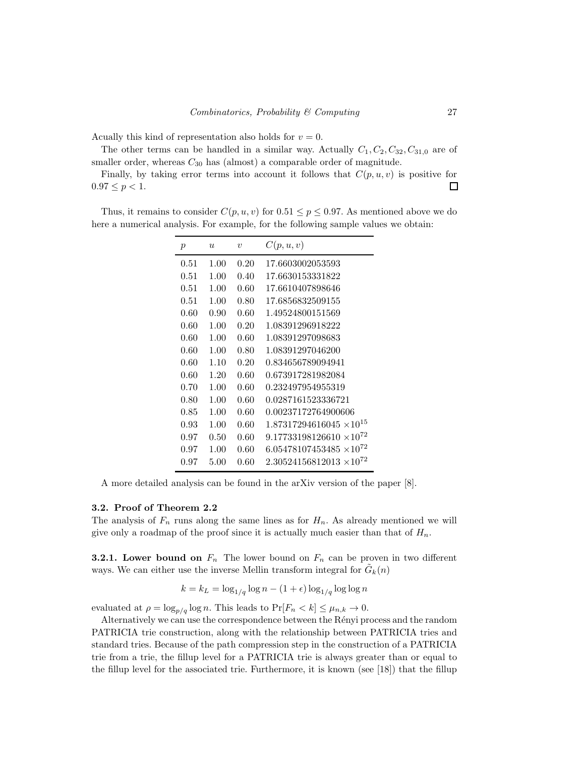Acually this kind of representation also holds for  $v = 0$ .

The other terms can be handled in a similar way. Actually  $C_1, C_2, C_{32}, C_{31,0}$  are of smaller order, whereas  $C_{30}$  has (almost) a comparable order of magnitude.

Finally, by taking error terms into account it follows that  $C(p, u, v)$  is positive for  $0.97 \le p < 1.$  $\Box$ 

Thus, it remains to consider  $C(p, u, v)$  for  $0.51 \leq p \leq 0.97$ . As mentioned above we do here a numerical analysis. For example, for the following sample values we obtain:

| $\boldsymbol{p}$ | $\boldsymbol{u}$ | $\boldsymbol{v}$ | C(p, u, v)                        |
|------------------|------------------|------------------|-----------------------------------|
| 0.51             | 1.00             | 0.20             | 17.6603002053593                  |
| 0.51             | 1.00             | 0.40             | 17.6630153331822                  |
| 0.51             | 1.00             | 0.60             | 17.6610407898646                  |
| 0.51             | 1.00             | 0.80             | 17.6856832509155                  |
| 0.60             | 0.90             | 0.60             | 1.49524800151569                  |
| 0.60             | 1.00             | 0.20             | 1.08391296918222                  |
| 0.60             | 1.00             | 0.60             | 1.08391297098683                  |
| 0.60             | 1.00             | 0.80             | 1.08391297046200                  |
| 0.60             | 1.10             | 0.20             | 0.834656789094941                 |
| 0.60             | 1.20             | 0.60             | 0.673917281982084                 |
| 0.70             | 1.00             | 0.60             | 0.232497954955319                 |
| 0.80             | 1.00             | 0.60             | 0.0287161523336721                |
| 0.85             | 1.00             | 0.60             | 0.00237172764900606               |
| 0.93             | 1.00             | 0.60             | $1.87317294616045 \times 10^{15}$ |
| 0.97             | 0.50             | 0.60             | $9.17733198126610 \times 10^{72}$ |
| 0.97             | 1.00             | 0.60             | $6.05478107453485 \times 10^{72}$ |
| 0.97             | $5.00\,$         | 0.60             | $2.30524156812013 \times 10^{72}$ |

A more detailed analysis can be found in the arXiv version of the paper [8].

#### 3.2. Proof of Theorem 2.2

The analysis of  $F_n$  runs along the same lines as for  $H_n$ . As already mentioned we will give only a roadmap of the proof since it is actually much easier than that of  $H_n$ .

**3.2.1.** Lower bound on  $F_n$  The lower bound on  $F_n$  can be proven in two different ways. We can either use the inverse Mellin transform integral for  $\tilde{G}_k(n)$ 

$$
k = k_L = \log_{1/q} \log n - (1+\epsilon) \log_{1/q} \log \log n
$$

evaluated at  $\rho = \log_{p/q} \log n$ . This leads to  $\Pr[F_n < k] \leq \mu_{n,k} \to 0$ .

Alternatively we can use the correspondence between the Rényi process and the random PATRICIA trie construction, along with the relationship between PATRICIA tries and standard tries. Because of the path compression step in the construction of a PATRICIA trie from a trie, the fillup level for a PATRICIA trie is always greater than or equal to the fillup level for the associated trie. Furthermore, it is known (see [18]) that the fillup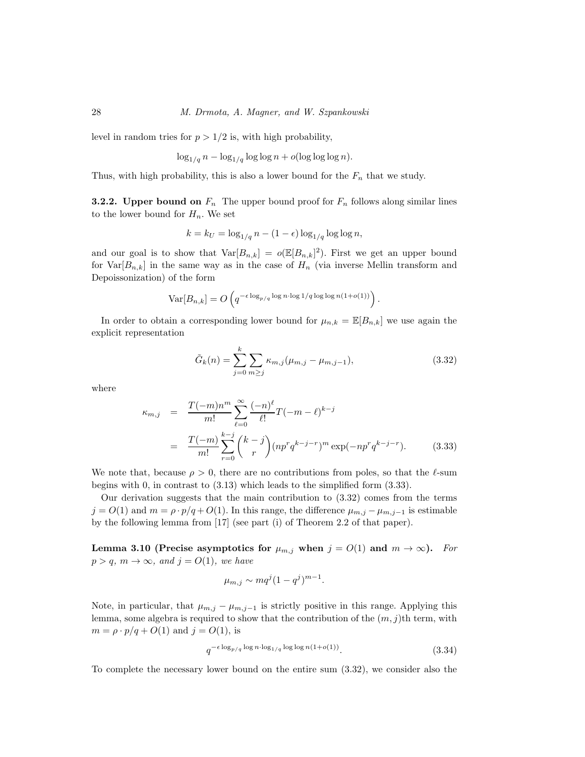level in random tries for  $p > 1/2$  is, with high probability,

$$
\log_{1/q} n - \log_{1/q} \log \log n + o(\log \log \log n).
$$

Thus, with high probability, this is also a lower bound for the  $F_n$  that we study.

**3.2.2.** Upper bound on  $F_n$  The upper bound proof for  $F_n$  follows along similar lines to the lower bound for  $H_n$ . We set

$$
k = k_U = \log_{1/q} n - (1 - \epsilon) \log_{1/q} \log \log n,
$$

and our goal is to show that  $\text{Var}[B_{n,k}] = o(\mathbb{E}[B_{n,k}]^2)$ . First we get an upper bound for  $Var[B_{n,k}]$  in the same way as in the case of  $H_n$  (via inverse Mellin transform and Depoissonization) of the form

$$
\text{Var}[B_{n,k}] = O\left(q^{-\epsilon \log_{p/q} \log n \cdot \log 1/q \log \log n(1+o(1))}\right).
$$

In order to obtain a corresponding lower bound for  $\mu_{n,k} = \mathbb{E}[B_{n,k}]$  we use again the explicit representation

$$
\tilde{G}_k(n) = \sum_{j=0}^k \sum_{m \ge j} \kappa_{m,j} (\mu_{m,j} - \mu_{m,j-1}),
$$
\n(3.32)

where

$$
\kappa_{m,j} = \frac{T(-m)n^m}{m!} \sum_{\ell=0}^{\infty} \frac{(-n)^{\ell}}{\ell!} T(-m-\ell)^{k-j}
$$
  
= 
$$
\frac{T(-m)}{m!} \sum_{r=0}^{k-j} {k-j \choose r} (np^r q^{k-j-r})^m \exp(-np^r q^{k-j-r}).
$$
 (3.33)

We note that, because  $\rho > 0$ , there are no contributions from poles, so that the  $\ell$ -sum begins with 0, in contrast to (3.13) which leads to the simplified form (3.33).

Our derivation suggests that the main contribution to (3.32) comes from the terms  $j = O(1)$  and  $m = \rho \cdot p/q + O(1)$ . In this range, the difference  $\mu_{m,j} - \mu_{m,j-1}$  is estimable by the following lemma from [17] (see part (i) of Theorem 2.2 of that paper).

Lemma 3.10 (Precise asymptotics for  $\mu_{m,j}$  when  $j = O(1)$  and  $m \to \infty$ ). *For*  $p > q$ ,  $m \to \infty$ , and  $j = O(1)$ , we have

$$
\mu_{m,j} \sim mq^j(1-q^j)^{m-1}.
$$

Note, in particular, that  $\mu_{m,j} - \mu_{m,j-1}$  is strictly positive in this range. Applying this lemma, some algebra is required to show that the contribution of the  $(m, j)$ th term, with  $m = \rho \cdot p/q + O(1)$  and  $j = O(1)$ , is

$$
q^{-\epsilon \log_{p/q} \log n \cdot \log_{1/q} \log \log n (1+o(1))}.
$$
\n
$$
(3.34)
$$

To complete the necessary lower bound on the entire sum (3.32), we consider also the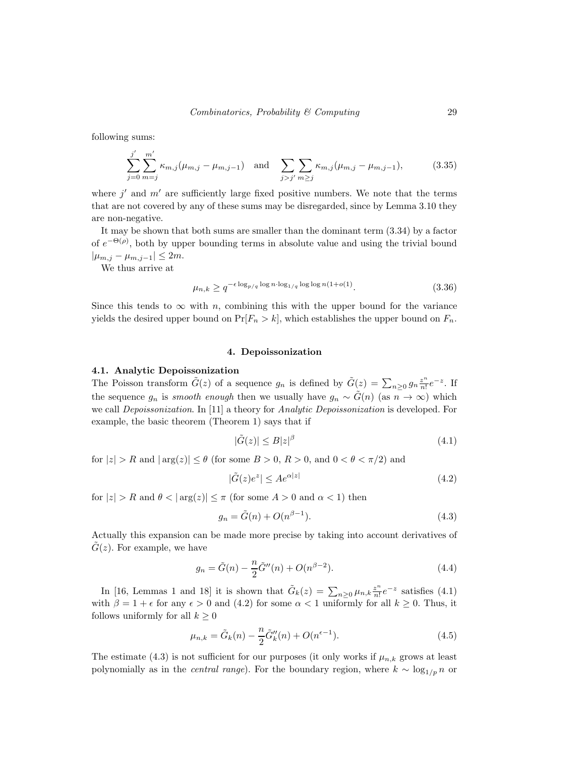following sums:

$$
\sum_{j=0}^{j'} \sum_{m=j}^{m'} \kappa_{m,j} (\mu_{m,j} - \mu_{m,j-1}) \text{ and } \sum_{j>j'} \sum_{m\geq j} \kappa_{m,j} (\mu_{m,j} - \mu_{m,j-1}), \tag{3.35}
$$

where  $j'$  and  $m'$  are sufficiently large fixed positive numbers. We note that the terms that are not covered by any of these sums may be disregarded, since by Lemma 3.10 they are non-negative.

It may be shown that both sums are smaller than the dominant term (3.34) by a factor of  $e^{-\Theta(\rho)}$ , both by upper bounding terms in absolute value and using the trivial bound  $|\mu_{m,j} - \mu_{m,j-1}| \leq 2m$ .

We thus arrive at

$$
\mu_{n,k} \ge q^{-\epsilon \log_{p/q} \log n \cdot \log_{1/q} \log \log n (1 + o(1))}.
$$
\n(3.36)

Since this tends to  $\infty$  with n, combining this with the upper bound for the variance yields the desired upper bound on  $Pr[F_n > k]$ , which establishes the upper bound on  $F_n$ .

## 4. Depoissonization

#### 4.1. Analytic Depoissonization

The Poisson transform  $\tilde{G}(z)$  of a sequence  $g_n$  is defined by  $\tilde{G}(z) = \sum_{n\geq 0} g_n \frac{z^n}{n!}$  $\frac{z^n}{n!}e^{-z}$ . If the sequence  $g_n$  is *smooth enough* then we usually have  $g_n \sim \tilde{G}(n)$  (as  $n \to \infty$ ) which we call *Depoissonization*. In [11] a theory for *Analytic Depoissonization* is developed. For example, the basic theorem (Theorem 1) says that if

$$
|\tilde{G}(z)| \le B|z|^{\beta} \tag{4.1}
$$

for  $|z| > R$  and  $|\arg(z)| \le \theta$  (for some  $B > 0$ ,  $R > 0$ , and  $0 < \theta < \pi/2$ ) and

$$
|\tilde{G}(z)e^z| \le Ae^{\alpha|z|} \tag{4.2}
$$

for  $|z| > R$  and  $\theta < |\arg(z)| \leq \pi$  (for some  $A > 0$  and  $\alpha < 1$ ) then

$$
g_n = \tilde{G}(n) + O(n^{\beta - 1}).\tag{4.3}
$$

Actually this expansion can be made more precise by taking into account derivatives of  $G(z)$ . For example, we have

$$
g_n = \tilde{G}(n) - \frac{n}{2}\tilde{G}''(n) + O(n^{\beta - 2}).
$$
\n(4.4)

In [16, Lemmas 1 and 18] it is shown that  $\tilde{G}_k(z) = \sum_{n\geq 0} \mu_{n,k} \frac{z^n}{n!}$  $\frac{z^n}{n!}e^{-z}$  satisfies  $(4.1)$ with  $\beta = 1 + \epsilon$  for any  $\epsilon > 0$  and (4.2) for some  $\alpha < 1$  uniformly for all  $k \ge 0$ . Thus, it follows uniformly for all  $k \geq 0$ 

$$
\mu_{n,k} = \tilde{G}_k(n) - \frac{n}{2}\tilde{G}_k''(n) + O(n^{\epsilon - 1}).
$$
\n(4.5)

The estimate (4.3) is not sufficient for our purposes (it only works if  $\mu_{n,k}$  grows at least polynomially as in the *central range*). For the boundary region, where  $k \sim \log_{1/p} n$  or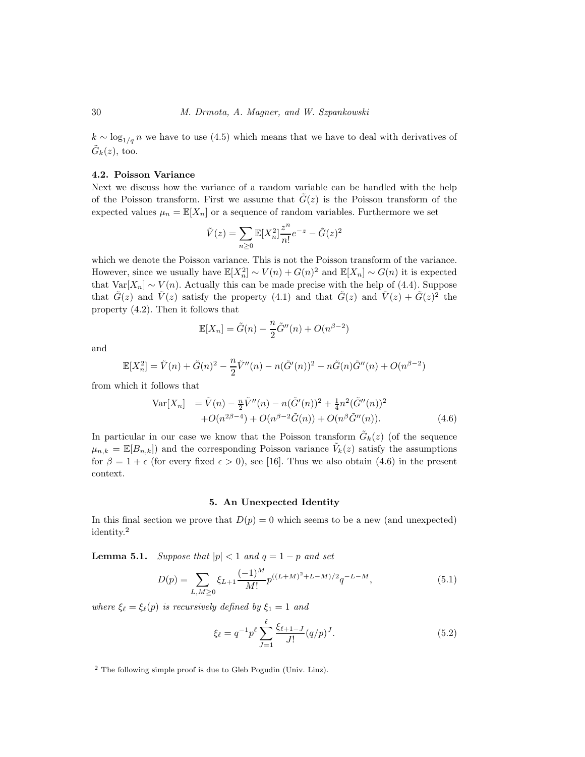$k \sim \log_{1/q} n$  we have to use (4.5) which means that we have to deal with derivatives of  $\tilde{G}_k(z)$ , too.

## 4.2. Poisson Variance

Next we discuss how the variance of a random variable can be handled with the help of the Poisson transform. First we assume that  $\tilde{G}(z)$  is the Poisson transform of the expected values  $\mu_n = \mathbb{E}[X_n]$  or a sequence of random variables. Furthermore we set

$$
\tilde{V}(z) = \sum_{n\geq 0} \mathbb{E}[X_n^2] \frac{z^n}{n!} e^{-z} - \tilde{G}(z)^2
$$

which we denote the Poisson variance. This is not the Poisson transform of the variance. However, since we usually have  $\mathbb{E}[X_n^2] \sim V(n) + G(n)^2$  and  $\mathbb{E}[X_n] \sim G(n)$  it is expected that  $Var[X_n] \sim V(n)$ . Actually this can be made precise with the help of (4.4). Suppose that  $\tilde{G}(z)$  and  $\tilde{V}(z)$  satisfy the property (4.1) and that  $\tilde{G}(z)$  and  $\tilde{V}(z) + \tilde{G}(z)^2$  the property (4.2). Then it follows that

$$
\mathbb{E}[X_n] = \tilde{G}(n) - \frac{n}{2}\tilde{G}''(n) + O(n^{\beta - 2})
$$

and

$$
\mathbb{E}[X_n^2] = \tilde{V}(n) + \tilde{G}(n)^2 - \frac{n}{2}\tilde{V}''(n) - n(\tilde{G}'(n))^2 - n\tilde{G}(n)\tilde{G}''(n) + O(n^{\beta - 2})
$$

from which it follows that

$$
\begin{aligned}\n\text{Var}[X_n] &= \tilde{V}(n) - \frac{n}{2} \tilde{V}''(n) - n(\tilde{G}'(n))^2 + \frac{1}{4} n^2 (\tilde{G}''(n))^2 \\
&\quad + O(n^{2\beta - 4}) + O(n^{\beta - 2} \tilde{G}(n)) + O(n^{\beta} \tilde{G}''(n)).\n\end{aligned} \tag{4.6}
$$

In particular in our case we know that the Poisson transform  $\tilde{G}_k(z)$  (of the sequence  $\mu_{n,k} = \mathbb{E}[B_{n,k}]$  and the corresponding Poisson variance  $\tilde{V}_k(z)$  satisfy the assumptions for  $\beta = 1 + \epsilon$  (for every fixed  $\epsilon > 0$ ), see [16]. Thus we also obtain (4.6) in the present context.

## 5. An Unexpected Identity

In this final section we prove that  $D(p) = 0$  which seems to be a new (and unexpected) identity.<sup>2</sup>

**Lemma 5.1.** *Suppose that*  $|p| < 1$  *and*  $q = 1 - p$  *and set* 

$$
D(p) = \sum_{L,M \ge 0} \xi_{L+1} \frac{(-1)^M}{M!} p^{((L+M)^2 + L - M)/2} q^{-L-M}, \qquad (5.1)
$$

*where*  $\xi_{\ell} = \xi_{\ell}(p)$  *is recursively defined by*  $\xi_1 = 1$  *and* 

$$
\xi_{\ell} = q^{-1} p^{\ell} \sum_{J=1}^{\ell} \frac{\xi_{\ell+1-J}}{J!} (q/p)^{J}.
$$
 (5.2)

<sup>2</sup> The following simple proof is due to Gleb Pogudin (Univ. Linz).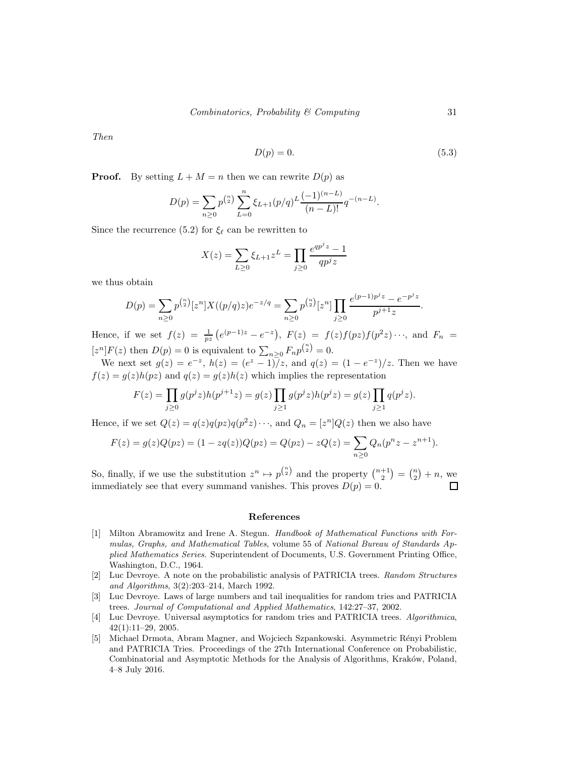*Then*

$$
D(p) = 0.\t\t(5.3)
$$

**Proof.** By setting  $L + M = n$  then we can rewrite  $D(p)$  as

$$
D(p) = \sum_{n\geq 0} p^{\binom{n}{2}} \sum_{L=0}^{n} \xi_{L+1}(p/q)^{L} \frac{(-1)^{(n-L)}}{(n-L)!} q^{-(n-L)}.
$$

Since the recurrence (5.2) for  $\xi_{\ell}$  can be rewritten to

$$
X(z) = \sum_{L \ge 0} \xi_{L+1} z^L = \prod_{j \ge 0} \frac{e^{qp^j z} - 1}{qp^j z}
$$

we thus obtain

$$
D(p) = \sum_{n\geq 0} p^{{n \choose 2}} [z^n] X((p/q)z) e^{-z/q} = \sum_{n\geq 0} p^{{n \choose 2}} [z^n] \prod_{j\geq 0} \frac{e^{(p-1)p^j z} - e^{-p^j z}}{p^{j+1} z}.
$$

Hence, if we set  $f(z) = \frac{1}{pz} (e^{(p-1)z} - e^{-z}), F(z) = f(z)f(pz)f(p^2z) \cdots$ , and  $F_n =$  $[z^n]F(z)$  then  $D(p) = 0$  is equivalent to  $\sum_{n \geq 0} F_n p^{n \choose 2} = 0$ .

We next set  $g(z) = e^{-z}$ ,  $h(z) = (e^{z} - 1)z$ , and  $q(z) = (1 - e^{-z})/z$ . Then we have  $f(z) = g(z)h(pz)$  and  $g(z) = g(z)h(z)$  which implies the representation

$$
F(z) = \prod_{j\geq 0} g(p^j z) h(p^{j+1} z) = g(z) \prod_{j\geq 1} g(p^j z) h(p^j z) = g(z) \prod_{j\geq 1} q(p^j z).
$$

Hence, if we set  $Q(z) = q(z)q(pz)q(p^2z) \cdots$ , and  $Q_n = [z^n]Q(z)$  then we also have

$$
F(z) = g(z)Q(pz) = (1 - zq(z))Q(pz) = Q(pz) - zQ(z) = \sum_{n \ge 0} Q_n(p^n z - z^{n+1}).
$$

So, finally, if we use the substitution  $z^n \mapsto p^{\binom{n}{2}}$  and the property  $\binom{n+1}{2} = \binom{n}{2} + n$ , we immediately see that every summand vanishes. This proves  $D(p) = 0$ . П

#### References

- [1] Milton Abramowitz and Irene A. Stegun. *Handbook of Mathematical Functions with Formulas, Graphs, and Mathematical Tables*, volume 55 of *National Bureau of Standards Applied Mathematics Series*. Superintendent of Documents, U.S. Government Printing Office, Washington, D.C., 1964.
- [2] Luc Devroye. A note on the probabilistic analysis of PATRICIA trees. *Random Structures and Algorithms*, 3(2):203–214, March 1992.
- [3] Luc Devroye. Laws of large numbers and tail inequalities for random tries and PATRICIA trees. *Journal of Computational and Applied Mathematics*, 142:27–37, 2002.
- [4] Luc Devroye. Universal asymptotics for random tries and PATRICIA trees. *Algorithmica*, 42(1):11–29, 2005.
- [5] Michael Drmota, Abram Magner, and Wojciech Szpankowski. Asymmetric R´enyi Problem and PATRICIA Tries. Proceedings of the 27th International Conference on Probabilistic, Combinatorial and Asymptotic Methods for the Analysis of Algorithms, Kraków, Poland, 4–8 July 2016.